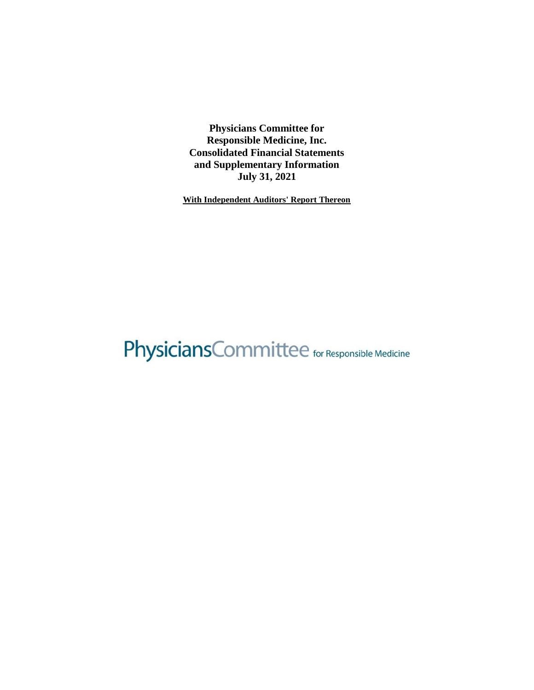**Physicians Committee for Responsible Medicine, Inc. Consolidated Financial Statements and Supplementary Information July 31, 2021** 

**With Independent Auditors' Report Thereon**

PhysiciansCommittee for Responsible Medicine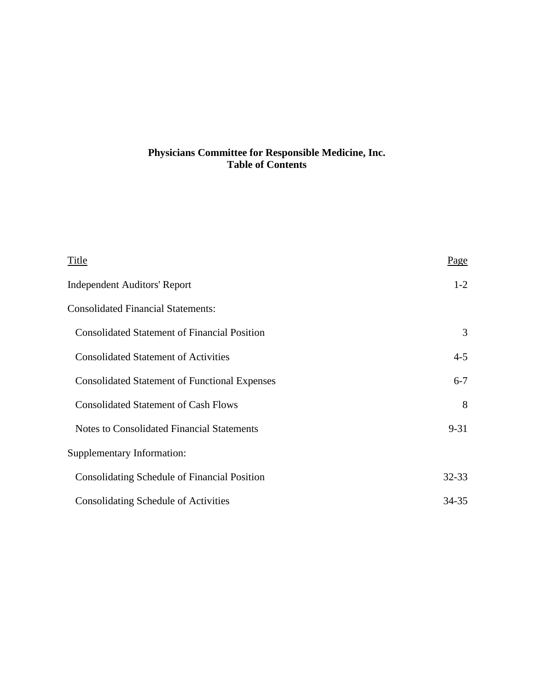## **Physicians Committee for Responsible Medicine, Inc. Table of Contents**

| Title                                                | <u>Page</u> |
|------------------------------------------------------|-------------|
| <b>Independent Auditors' Report</b>                  | $1-2$       |
| <b>Consolidated Financial Statements:</b>            |             |
| <b>Consolidated Statement of Financial Position</b>  | 3           |
| <b>Consolidated Statement of Activities</b>          | $4 - 5$     |
| <b>Consolidated Statement of Functional Expenses</b> | $6 - 7$     |
| <b>Consolidated Statement of Cash Flows</b>          | 8           |
| <b>Notes to Consolidated Financial Statements</b>    | $9 - 31$    |
| Supplementary Information:                           |             |
| <b>Consolidating Schedule of Financial Position</b>  | $32 - 33$   |
| <b>Consolidating Schedule of Activities</b>          | $34 - 35$   |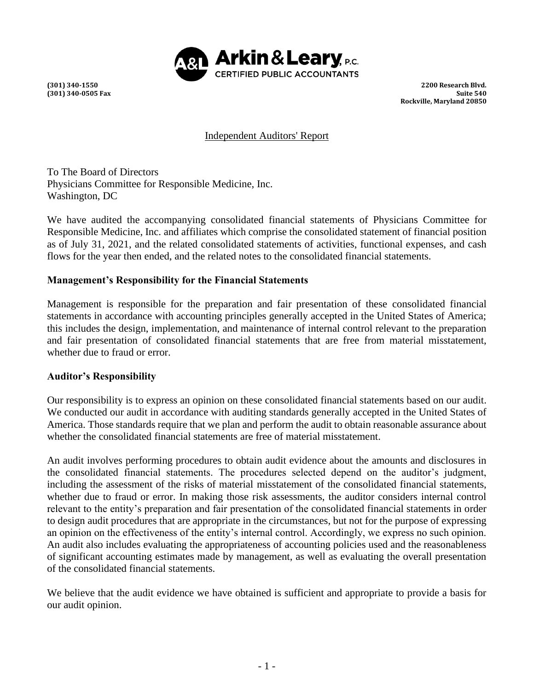

**(301) 340-1550 2200 Research Blvd. (301) 340-0505 Fax Suite 540 Rockville, Maryland 20850**

# Independent Auditors' Report

To The Board of Directors Physicians Committee for Responsible Medicine, Inc. Washington, DC

We have audited the accompanying consolidated financial statements of Physicians Committee for Responsible Medicine, Inc. and affiliates which comprise the consolidated statement of financial position as of July 31, 2021, and the related consolidated statements of activities, functional expenses, and cash flows for the year then ended, and the related notes to the consolidated financial statements.

# **Management's Responsibility for the Financial Statements**

Management is responsible for the preparation and fair presentation of these consolidated financial statements in accordance with accounting principles generally accepted in the United States of America; this includes the design, implementation, and maintenance of internal control relevant to the preparation and fair presentation of consolidated financial statements that are free from material misstatement, whether due to fraud or error.

#### **Auditor's Responsibility**

Our responsibility is to express an opinion on these consolidated financial statements based on our audit. We conducted our audit in accordance with auditing standards generally accepted in the United States of America. Those standards require that we plan and perform the audit to obtain reasonable assurance about whether the consolidated financial statements are free of material misstatement.

An audit involves performing procedures to obtain audit evidence about the amounts and disclosures in the consolidated financial statements. The procedures selected depend on the auditor's judgment, including the assessment of the risks of material misstatement of the consolidated financial statements, whether due to fraud or error. In making those risk assessments, the auditor considers internal control relevant to the entity's preparation and fair presentation of the consolidated financial statements in order to design audit procedures that are appropriate in the circumstances, but not for the purpose of expressing an opinion on the effectiveness of the entity's internal control. Accordingly, we express no such opinion. An audit also includes evaluating the appropriateness of accounting policies used and the reasonableness of significant accounting estimates made by management, as well as evaluating the overall presentation of the consolidated financial statements.

We believe that the audit evidence we have obtained is sufficient and appropriate to provide a basis for our audit opinion.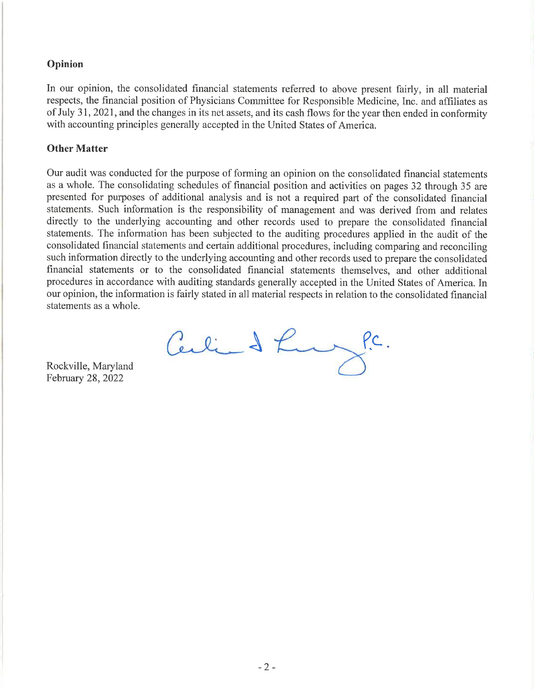#### Opinion

In our opinion, the consolidated financial statements referred to above present fairly, in all material respects, the financial position of Physicians Committee for Responsible Medicine, Inc. and affiliates as of July 31, 2021, and the changes in its net assets, and its cash flows for the year then ended in conformity with accounting principles generally accepted in the United States of America.

#### **Other Matter**

Our audit was conducted for the purpose of forming an opinion on the consolidated financial statements as a whole. The consolidating schedules of financial position and activities on pages 32 through 35 are presented for purposes of additional analysis and is not a required part of the consolidated financial statements. Such information is the responsibility of management and was derived from and relates directly to the underlying accounting and other records used to prepare the consolidated financial statements. The information has been subjected to the auditing procedures applied in the audit of the consolidated financial statements and certain additional procedures, including comparing and reconciling such information directly to the underlying accounting and other records used to prepare the consolidated financial statements or to the consolidated financial statements themselves, and other additional procedures in accordance with auditing standards generally accepted in the United States of America. In our opinion, the information is fairly stated in all material respects in relation to the consolidated financial statements as a whole.

Certie & Lungle.

Rockville, Maryland February 28, 2022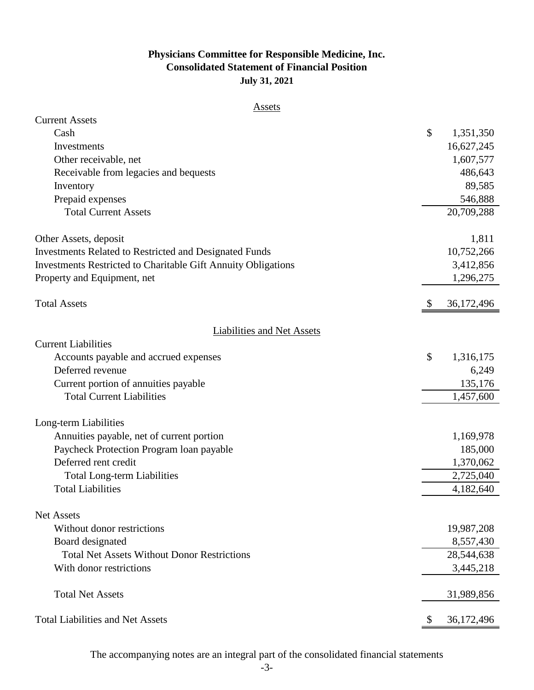# **Physicians Committee for Responsible Medicine, Inc. Consolidated Statement of Financial Position July 31, 2021**

# Assets

| <b>Current Assets</b>                                                |                 |
|----------------------------------------------------------------------|-----------------|
| Cash                                                                 | \$<br>1,351,350 |
| Investments                                                          | 16,627,245      |
| Other receivable, net                                                | 1,607,577       |
| Receivable from legacies and bequests                                | 486,643         |
| Inventory                                                            | 89,585          |
| Prepaid expenses                                                     | 546,888         |
| <b>Total Current Assets</b>                                          | 20,709,288      |
| Other Assets, deposit                                                | 1,811           |
| <b>Investments Related to Restricted and Designated Funds</b>        | 10,752,266      |
| <b>Investments Restricted to Charitable Gift Annuity Obligations</b> | 3,412,856       |
| Property and Equipment, net                                          | 1,296,275       |
| <b>Total Assets</b>                                                  | 36,172,496      |
| Liabilities and Net Assets                                           |                 |
| <b>Current Liabilities</b>                                           |                 |
| Accounts payable and accrued expenses                                | \$<br>1,316,175 |
| Deferred revenue                                                     | 6,249           |
| Current portion of annuities payable                                 | 135,176         |
| <b>Total Current Liabilities</b>                                     | 1,457,600       |
| Long-term Liabilities                                                |                 |
| Annuities payable, net of current portion                            | 1,169,978       |
| Paycheck Protection Program loan payable                             | 185,000         |
| Deferred rent credit                                                 | 1,370,062       |
| <b>Total Long-term Liabilities</b>                                   | 2,725,040       |
| <b>Total Liabilities</b>                                             | 4,182,640       |
| <b>Net Assets</b>                                                    |                 |
| Without donor restrictions                                           | 19,987,208      |
| Board designated                                                     | 8,557,430       |
| <b>Total Net Assets Without Donor Restrictions</b>                   | 28,544,638      |
| With donor restrictions                                              | 3,445,218       |
| <b>Total Net Assets</b>                                              | 31,989,856      |
| <b>Total Liabilities and Net Assets</b>                              | 36,172,496      |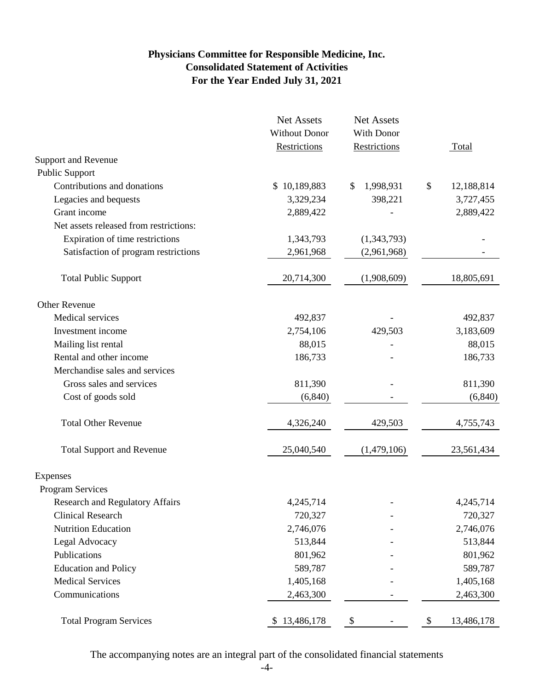# **For the Year Ended July 31, 2021 Physicians Committee for Responsible Medicine, Inc. Consolidated Statement of Activities**

|                                        | Net Assets           | Net Assets      |                  |
|----------------------------------------|----------------------|-----------------|------------------|
|                                        | <b>Without Donor</b> | With Donor      |                  |
|                                        | Restrictions         | Restrictions    | Total            |
| Support and Revenue                    |                      |                 |                  |
| Public Support                         |                      |                 |                  |
| Contributions and donations            | \$10,189,883         | 1,998,931<br>\$ | \$<br>12,188,814 |
| Legacies and bequests                  | 3,329,234            | 398,221         | 3,727,455        |
| Grant income                           | 2,889,422            |                 | 2,889,422        |
| Net assets released from restrictions: |                      |                 |                  |
| Expiration of time restrictions        | 1,343,793            | (1,343,793)     |                  |
| Satisfaction of program restrictions   | 2,961,968            | (2,961,968)     |                  |
| <b>Total Public Support</b>            | 20,714,300           | (1,908,609)     | 18,805,691       |
| <b>Other Revenue</b>                   |                      |                 |                  |
| Medical services                       | 492,837              |                 | 492,837          |
| Investment income                      | 2,754,106            | 429,503         | 3,183,609        |
| Mailing list rental                    | 88,015               |                 | 88,015           |
| Rental and other income                | 186,733              |                 | 186,733          |
| Merchandise sales and services         |                      |                 |                  |
| Gross sales and services               | 811,390              |                 | 811,390          |
| Cost of goods sold                     | (6, 840)             |                 | (6, 840)         |
| <b>Total Other Revenue</b>             | 4,326,240            | 429,503         | 4,755,743        |
| <b>Total Support and Revenue</b>       | 25,040,540           | (1,479,106)     | 23,561,434       |
| <b>Expenses</b>                        |                      |                 |                  |
| <b>Program Services</b>                |                      |                 |                  |
| <b>Research and Regulatory Affairs</b> | 4,245,714            |                 | 4,245,714        |
| <b>Clinical Research</b>               | 720,327              |                 | 720,327          |
| <b>Nutrition Education</b>             | 2,746,076            |                 | 2,746,076        |
| Legal Advocacy                         | 513,844              |                 | 513,844          |
| Publications                           | 801,962              |                 | 801,962          |
| <b>Education and Policy</b>            | 589,787              |                 | 589,787          |
| <b>Medical Services</b>                | 1,405,168            |                 | 1,405,168        |
| Communications                         | 2,463,300            |                 | 2,463,300        |
| <b>Total Program Services</b>          | \$13,486,178         | \$              | \$<br>13,486,178 |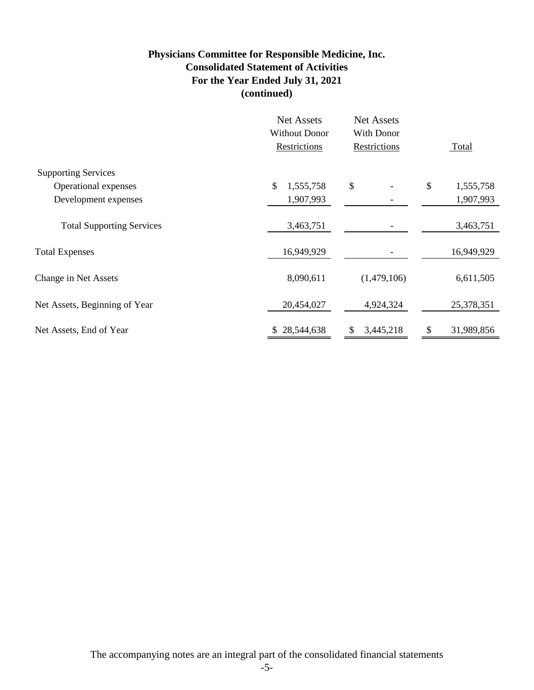# **(continued) Physicians Committee for Responsible Medicine, Inc. Consolidated Statement of Activities For the Year Ended July 31, 2021**

|                                  | <b>Net Assets</b><br><b>Without Donor</b> | <b>Net Assets</b><br><b>With Donor</b> |    |              |
|----------------------------------|-------------------------------------------|----------------------------------------|----|--------------|
|                                  | Restrictions<br>Restrictions              |                                        |    | <b>Total</b> |
| <b>Supporting Services</b>       |                                           |                                        |    |              |
| Operational expenses             | \$<br>1,555,758                           | \$                                     | \$ | 1,555,758    |
| Development expenses             | 1,907,993                                 |                                        |    | 1,907,993    |
| <b>Total Supporting Services</b> | 3,463,751                                 |                                        |    | 3,463,751    |
| <b>Total Expenses</b>            | 16,949,929                                |                                        |    | 16,949,929   |
| Change in Net Assets             | 8,090,611                                 | (1,479,106)                            |    | 6,611,505    |
| Net Assets, Beginning of Year    | 20,454,027                                | 4,924,324                              |    | 25,378,351   |
| Net Assets, End of Year          | 28,544,638                                | 3,445,218<br>S                         |    | 31,989,856   |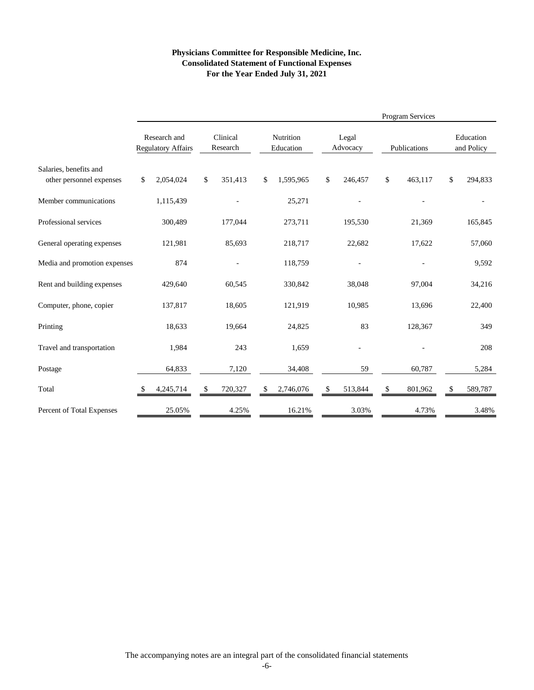#### **Physicians Committee for Responsible Medicine, Inc. Consolidated Statement of Functional Expenses For the Year Ended July 31, 2021**

|                                                    |                                           |           |                      |         |                        |           |                   |         |               | Program Services |                         |         |
|----------------------------------------------------|-------------------------------------------|-----------|----------------------|---------|------------------------|-----------|-------------------|---------|---------------|------------------|-------------------------|---------|
|                                                    | Research and<br><b>Regulatory Affairs</b> |           | Clinical<br>Research |         | Nutrition<br>Education |           | Legal<br>Advocacy |         | Publications  |                  | Education<br>and Policy |         |
| Salaries, benefits and<br>other personnel expenses | \$                                        | 2,054,024 | \$                   | 351,413 | \$                     | 1,595,965 | $\mathbb{S}$      | 246,457 | $\mathbb{S}$  | 463,117          | \$                      | 294,833 |
| Member communications                              |                                           | 1,115,439 |                      |         |                        | 25,271    |                   |         |               |                  |                         |         |
| Professional services                              |                                           | 300,489   |                      | 177,044 |                        | 273,711   |                   | 195,530 |               | 21,369           |                         | 165,845 |
| General operating expenses                         |                                           | 121,981   |                      | 85,693  |                        | 218,717   |                   | 22,682  |               | 17,622           |                         | 57,060  |
| Media and promotion expenses                       |                                           | 874       |                      |         |                        | 118,759   |                   |         |               |                  |                         | 9,592   |
| Rent and building expenses                         |                                           | 429,640   |                      | 60,545  |                        | 330,842   |                   | 38,048  |               | 97,004           |                         | 34,216  |
| Computer, phone, copier                            |                                           | 137,817   |                      | 18,605  |                        | 121,919   |                   | 10,985  |               | 13,696           |                         | 22,400  |
| Printing                                           |                                           | 18,633    |                      | 19,664  |                        | 24,825    |                   | 83      |               | 128,367          |                         | 349     |
| Travel and transportation                          |                                           | 1,984     |                      | 243     |                        | 1,659     |                   |         |               |                  |                         | 208     |
| Postage                                            |                                           | 64,833    |                      | 7,120   |                        | 34,408    |                   | 59      |               | 60,787           |                         | 5,284   |
| Total                                              | S                                         | 4,245,714 | \$                   | 720,327 | S                      | 2,746,076 | <sup>\$</sup>     | 513,844 | <sup>\$</sup> | 801,962          | S                       | 589,787 |
| Percent of Total Expenses                          |                                           | 25.05%    |                      | 4.25%   |                        | 16.21%    |                   | 3.03%   |               | 4.73%            |                         | 3.48%   |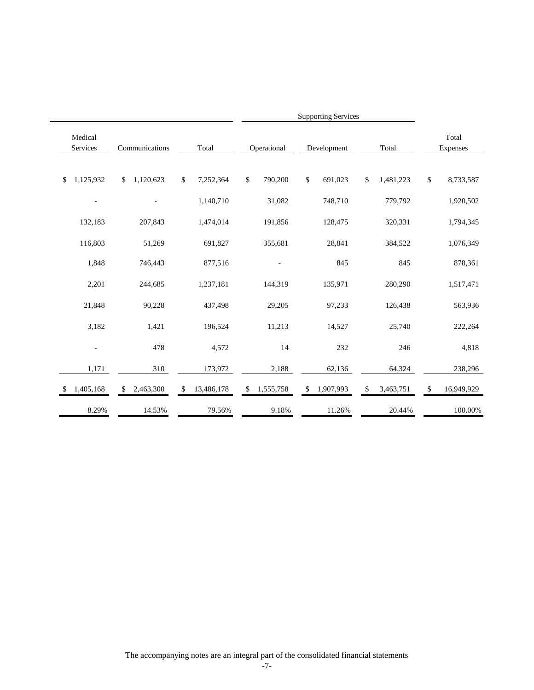| Medical<br>Services        | Communications            | Total           | Operational             | Development     | Total                     | Total<br>Expenses |
|----------------------------|---------------------------|-----------------|-------------------------|-----------------|---------------------------|-------------------|
| 1,125,932<br>$\mathsf{\$}$ | 1,120,623<br>$\mathbb{S}$ | \$<br>7,252,364 | $\mathbb{S}$<br>790,200 | \$<br>691,023   | 1,481,223<br>$\mathbb{S}$ | \$<br>8,733,587   |
|                            |                           | 1,140,710       | 31,082                  | 748,710         | 779,792                   | 1,920,502         |
| 132,183                    | 207,843                   | 1,474,014       | 191,856                 | 128,475         | 320,331                   | 1,794,345         |
| 116,803                    | 51,269                    | 691,827         | 355,681                 | 28,841          | 384,522                   | 1,076,349         |
| 1,848                      | 746,443                   | 877,516         |                         | 845             | 845                       | 878,361           |
| 2,201                      | 244,685                   | 1,237,181       | 144,319                 | 135,971         | 280,290                   | 1,517,471         |
| 21,848                     | 90,228                    | 437,498         | 29,205                  | 97,233          | 126,438                   | 563,936           |
| 3,182                      | 1,421                     | 196,524         | 11,213                  | 14,527          | 25,740                    | 222,264           |
|                            | 478                       | 4,572           | 14                      | 232             | 246                       | 4,818             |
| 1,171                      | 310                       | 173,972         | 2,188                   | 62,136          | 64,324                    | 238,296           |
| 1,405,168<br>S.            | 2,463,300<br>S            | 13,486,178<br>S | \$1,555,758             | 1,907,993<br>S. | 3,463,751<br>S            | 16,949,929<br>\$  |
| 8.29%                      | 14.53%                    | 79.56%          | 9.18%                   | 11.26%          | 20.44%                    | 100.00%           |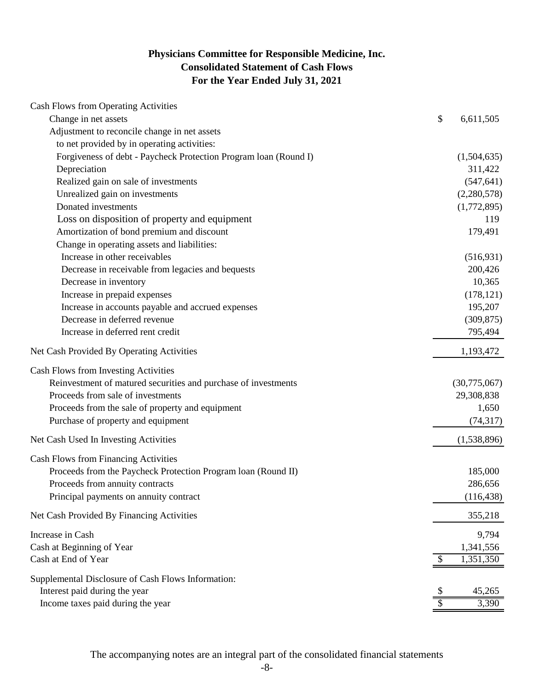# **Physicians Committee for Responsible Medicine, Inc. Consolidated Statement of Cash Flows For the Year Ended July 31, 2021**

| <b>Cash Flows from Operating Activities</b>                      |    |              |
|------------------------------------------------------------------|----|--------------|
| Change in net assets                                             | \$ | 6,611,505    |
| Adjustment to reconcile change in net assets                     |    |              |
| to net provided by in operating activities:                      |    |              |
| Forgiveness of debt - Paycheck Protection Program loan (Round I) |    | (1,504,635)  |
| Depreciation                                                     |    | 311,422      |
| Realized gain on sale of investments                             |    | (547, 641)   |
| Unrealized gain on investments                                   |    | (2,280,578)  |
| Donated investments                                              |    | (1,772,895)  |
| Loss on disposition of property and equipment                    |    | 119          |
| Amortization of bond premium and discount                        |    | 179,491      |
| Change in operating assets and liabilities:                      |    |              |
| Increase in other receivables                                    |    | (516, 931)   |
| Decrease in receivable from legacies and bequests                |    | 200,426      |
| Decrease in inventory                                            |    | 10,365       |
| Increase in prepaid expenses                                     |    | (178, 121)   |
| Increase in accounts payable and accrued expenses                |    | 195,207      |
| Decrease in deferred revenue                                     |    | (309, 875)   |
| Increase in deferred rent credit                                 |    | 795,494      |
| Net Cash Provided By Operating Activities                        |    | 1,193,472    |
| Cash Flows from Investing Activities                             |    |              |
| Reinvestment of matured securities and purchase of investments   |    | (30,775,067) |
| Proceeds from sale of investments                                |    | 29,308,838   |
| Proceeds from the sale of property and equipment                 |    | 1,650        |
| Purchase of property and equipment                               |    | (74, 317)    |
| Net Cash Used In Investing Activities                            |    | (1,538,896)  |
| <b>Cash Flows from Financing Activities</b>                      |    |              |
| Proceeds from the Paycheck Protection Program Ioan (Round II)    |    | 185,000      |
| Proceeds from annuity contracts                                  |    | 286,656      |
| Principal payments on annuity contract                           |    | (116, 438)   |
|                                                                  |    |              |
| Net Cash Provided By Financing Activities                        |    | 355,218      |
| Increase in Cash                                                 |    | 9,794        |
| Cash at Beginning of Year                                        |    | 1,341,556    |
| Cash at End of Year                                              | -S | 1,351,350    |
| Supplemental Disclosure of Cash Flows Information:               |    |              |
| Interest paid during the year                                    |    | 45,265       |
| Income taxes paid during the year                                |    | 3,390        |
|                                                                  |    |              |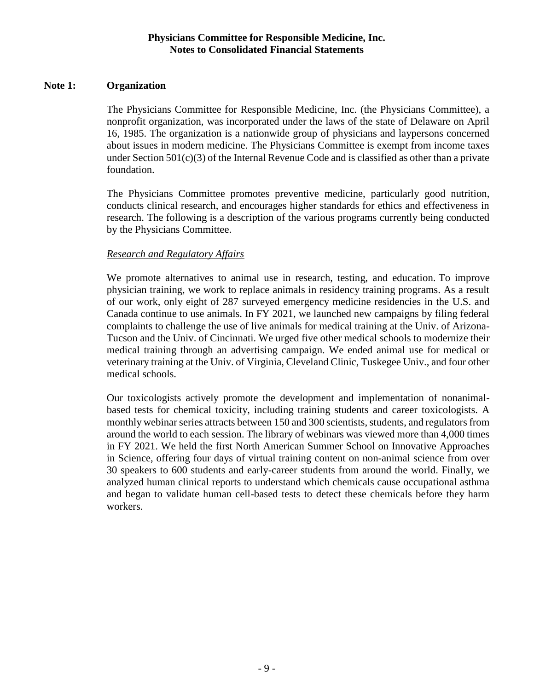#### **Note 1: Organization**

The Physicians Committee for Responsible Medicine, Inc. (the Physicians Committee), a nonprofit organization, was incorporated under the laws of the state of Delaware on April 16, 1985. The organization is a nationwide group of physicians and laypersons concerned about issues in modern medicine. The Physicians Committee is exempt from income taxes under Section  $501(c)(3)$  of the Internal Revenue Code and is classified as other than a private foundation.

The Physicians Committee promotes preventive medicine, particularly good nutrition, conducts clinical research, and encourages higher standards for ethics and effectiveness in research. The following is a description of the various programs currently being conducted by the Physicians Committee.

# *Research and Regulatory Affairs*

We promote alternatives to animal use in research, testing, and education. To improve physician training, we work to replace animals in residency training programs. As a result of our work, only eight of 287 surveyed emergency medicine residencies in the U.S. and Canada continue to use animals. In FY 2021, we launched new campaigns by filing federal complaints to challenge the use of live animals for medical training at the Univ. of Arizona-Tucson and the Univ. of Cincinnati. We urged five other medical schools to modernize their medical training through an advertising campaign. We ended animal use for medical or veterinary training at the Univ. of Virginia, Cleveland Clinic, Tuskegee Univ., and four other medical schools.

Our toxicologists actively promote the development and implementation of nonanimalbased tests for chemical toxicity, including training students and career toxicologists. A monthly webinar series attracts between 150 and 300 scientists, students, and regulators from around the world to each session. The library of webinars was viewed more than 4,000 times in FY 2021. We held the first North American Summer School on Innovative Approaches in Science, offering four days of virtual training content on non-animal science from over 30 speakers to 600 students and early-career students from around the world. Finally, we analyzed human clinical reports to understand which chemicals cause occupational asthma and began to validate human cell-based tests to detect these chemicals before they harm workers.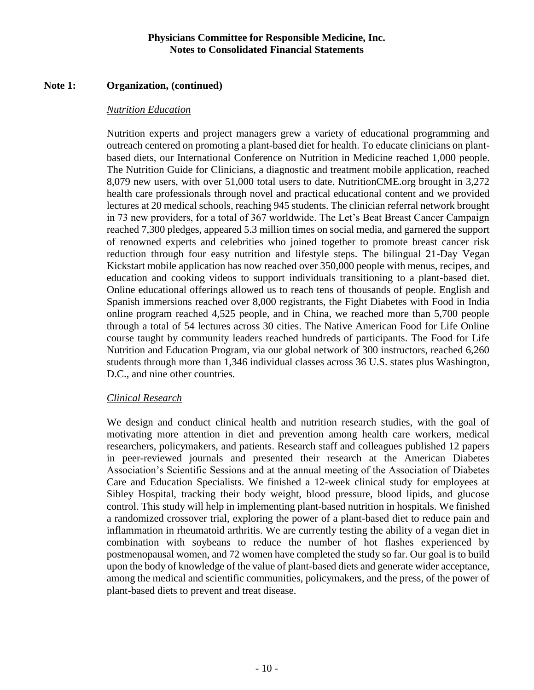# **Note 1: Organization, (continued)**

#### *Nutrition Education*

Nutrition experts and project managers grew a variety of educational programming and outreach centered on promoting a plant-based diet for health. To educate clinicians on plantbased diets, our International Conference on Nutrition in Medicine reached 1,000 people. The Nutrition Guide for Clinicians, a diagnostic and treatment mobile application, reached 8,079 new users, with over 51,000 total users to date. NutritionCME.org brought in 3,272 health care professionals through novel and practical educational content and we provided lectures at 20 medical schools, reaching 945 students. The clinician referral network brought in 73 new providers, for a total of 367 worldwide. The Let's Beat Breast Cancer Campaign reached 7,300 pledges, appeared 5.3 million times on social media, and garnered the support of renowned experts and celebrities who joined together to promote breast cancer risk reduction through four easy nutrition and lifestyle steps. The bilingual 21-Day Vegan Kickstart mobile application has now reached over 350,000 people with menus, recipes, and education and cooking videos to support individuals transitioning to a plant-based diet. Online educational offerings allowed us to reach tens of thousands of people. English and Spanish immersions reached over 8,000 registrants, the Fight Diabetes with Food in India online program reached 4,525 people, and in China, we reached more than 5,700 people through a total of 54 lectures across 30 cities. The Native American Food for Life Online course taught by community leaders reached hundreds of participants. The Food for Life Nutrition and Education Program, via our global network of 300 instructors, reached 6,260 students through more than 1,346 individual classes across 36 U.S. states plus Washington, D.C., and nine other countries.

# *Clinical Research*

We design and conduct clinical health and nutrition research studies, with the goal of motivating more attention in diet and prevention among health care workers, medical researchers, policymakers, and patients. Research staff and colleagues published 12 papers in peer-reviewed journals and presented their research at the American Diabetes Association's Scientific Sessions and at the annual meeting of the Association of Diabetes Care and Education Specialists. We finished a 12-week clinical study for employees at Sibley Hospital, tracking their body weight, blood pressure, blood lipids, and glucose control. This study will help in implementing plant-based nutrition in hospitals. We finished a randomized crossover trial, exploring the power of a plant-based diet to reduce pain and inflammation in rheumatoid arthritis. We are currently testing the ability of a vegan diet in combination with soybeans to reduce the number of hot flashes experienced by postmenopausal women, and 72 women have completed the study so far. Our goal is to build upon the body of knowledge of the value of plant-based diets and generate wider acceptance, among the medical and scientific communities, policymakers, and the press, of the power of plant-based diets to prevent and treat disease.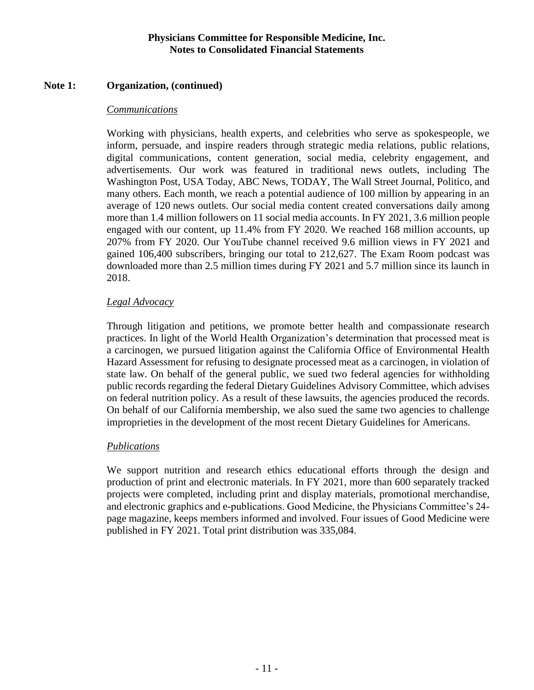# **Note 1: Organization, (continued)**

#### *Communications*

Working with physicians, health experts, and celebrities who serve as spokespeople, we inform, persuade, and inspire readers through strategic media relations, public relations, digital communications, content generation, social media, celebrity engagement, and advertisements. Our work was featured in traditional news outlets, including The Washington Post, USA Today, ABC News, TODAY, The Wall Street Journal, Politico, and many others. Each month, we reach a potential audience of 100 million by appearing in an average of 120 news outlets. Our social media content created conversations daily among more than 1.4 million followers on 11 social media accounts. In FY 2021, 3.6 million people engaged with our content, up 11.4% from FY 2020. We reached 168 million accounts, up 207% from FY 2020. Our YouTube channel received 9.6 million views in FY 2021 and gained 106,400 subscribers, bringing our total to 212,627. The Exam Room podcast was downloaded more than 2.5 million times during FY 2021 and 5.7 million since its launch in 2018.

#### *Legal Advocacy*

Through litigation and petitions, we promote better health and compassionate research practices. In light of the World Health Organization's determination that processed meat is a carcinogen, we pursued litigation against the California Office of Environmental Health Hazard Assessment for refusing to designate processed meat as a carcinogen, in violation of state law. On behalf of the general public, we sued two federal agencies for withholding public records regarding the federal Dietary Guidelines Advisory Committee, which advises on federal nutrition policy. As a result of these lawsuits, the agencies produced the records. On behalf of our California membership, we also sued the same two agencies to challenge improprieties in the development of the most recent Dietary Guidelines for Americans.

#### *Publications*

We support nutrition and research ethics educational efforts through the design and production of print and electronic materials. In FY 2021, more than 600 separately tracked projects were completed, including print and display materials, promotional merchandise, and electronic graphics and e-publications. Good Medicine, the Physicians Committee's 24 page magazine, keeps members informed and involved. Four issues of Good Medicine were published in FY 2021. Total print distribution was 335,084.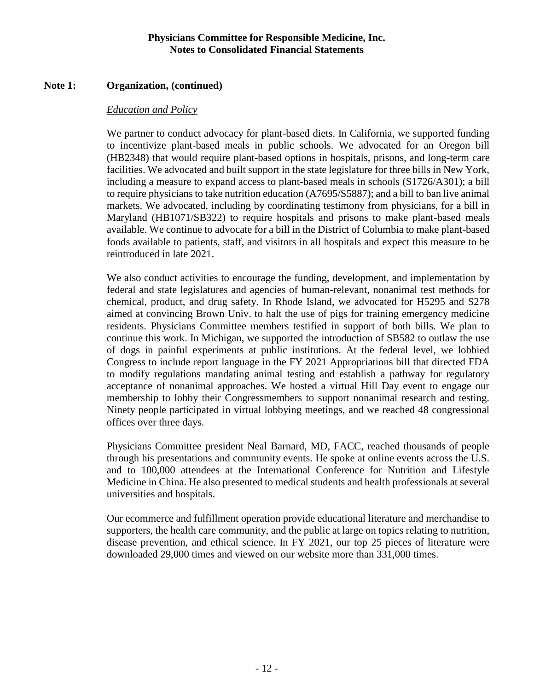# **Note 1: Organization, (continued)**

# *Education and Policy*

We partner to conduct advocacy for plant-based diets. In California, we supported funding to incentivize plant-based meals in public schools. We advocated for an Oregon bill (HB2348) that would require plant-based options in hospitals, prisons, and long-term care facilities. We advocated and built support in the state legislature for three bills in New York, including a measure to expand access to plant-based meals in schools (S1726/A301); a bill to require physicians to take nutrition education (A7695/S5887); and a bill to ban live animal markets. We advocated, including by coordinating testimony from physicians, for a bill in Maryland (HB1071/SB322) to require hospitals and prisons to make plant-based meals available. We continue to advocate for a bill in the District of Columbia to make plant-based foods available to patients, staff, and visitors in all hospitals and expect this measure to be reintroduced in late 2021.

We also conduct activities to encourage the funding, development, and implementation by federal and state legislatures and agencies of human-relevant, nonanimal test methods for chemical, product, and drug safety. In Rhode Island, we advocated for H5295 and S278 aimed at convincing Brown Univ. to halt the use of pigs for training emergency medicine residents. Physicians Committee members testified in support of both bills. We plan to continue this work. In Michigan, we supported the introduction of SB582 to outlaw the use of dogs in painful experiments at public institutions. At the federal level, we lobbied Congress to include report language in the FY 2021 Appropriations bill that directed FDA to modify regulations mandating animal testing and establish a pathway for regulatory acceptance of nonanimal approaches. We hosted a virtual Hill Day event to engage our membership to lobby their Congressmembers to support nonanimal research and testing. Ninety people participated in virtual lobbying meetings, and we reached 48 congressional offices over three days.

Physicians Committee president Neal Barnard, MD, FACC, reached thousands of people through his presentations and community events. He spoke at online events across the U.S. and to 100,000 attendees at the International Conference for Nutrition and Lifestyle Medicine in China. He also presented to medical students and health professionals at several universities and hospitals.

Our ecommerce and fulfillment operation provide educational literature and merchandise to supporters, the health care community, and the public at large on topics relating to nutrition, disease prevention, and ethical science. In FY 2021, our top 25 pieces of literature were downloaded 29,000 times and viewed on our website more than 331,000 times.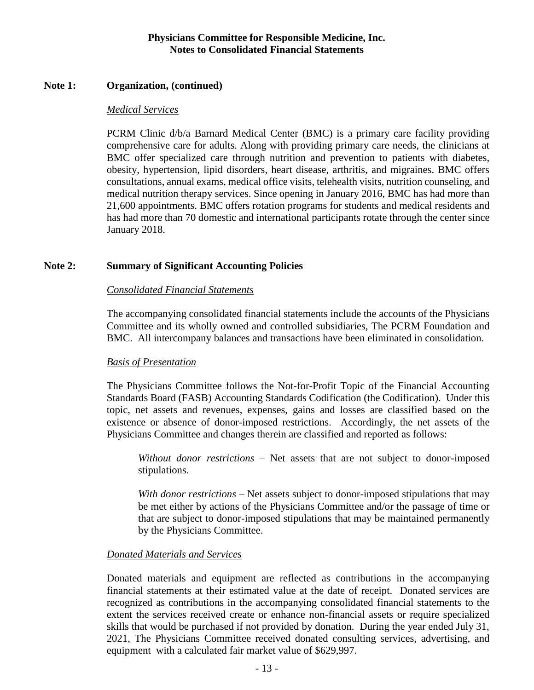## **Note 1: Organization, (continued)**

#### *Medical Services*

PCRM Clinic d/b/a Barnard Medical Center (BMC) is a primary care facility providing comprehensive care for adults. Along with providing primary care needs, the clinicians at BMC offer specialized care through nutrition and prevention to patients with diabetes, obesity, hypertension, lipid disorders, heart disease, arthritis, and migraines. BMC offers consultations, annual exams, medical office visits, telehealth visits, nutrition counseling, and medical nutrition therapy services. Since opening in January 2016, BMC has had more than 21,600 appointments. BMC offers rotation programs for students and medical residents and has had more than 70 domestic and international participants rotate through the center since January 2018.

# **Note 2: Summary of Significant Accounting Policies**

#### *Consolidated Financial Statements*

The accompanying consolidated financial statements include the accounts of the Physicians Committee and its wholly owned and controlled subsidiaries, The PCRM Foundation and BMC. All intercompany balances and transactions have been eliminated in consolidation.

#### *Basis of Presentation*

The Physicians Committee follows the Not-for-Profit Topic of the Financial Accounting Standards Board (FASB) Accounting Standards Codification (the Codification). Under this topic, net assets and revenues, expenses, gains and losses are classified based on the existence or absence of donor-imposed restrictions. Accordingly, the net assets of the Physicians Committee and changes therein are classified and reported as follows:

*Without donor restrictions* – Net assets that are not subject to donor-imposed stipulations.

*With donor restrictions* – Net assets subject to donor-imposed stipulations that may be met either by actions of the Physicians Committee and/or the passage of time or that are subject to donor-imposed stipulations that may be maintained permanently by the Physicians Committee.

#### *Donated Materials and Services*

Donated materials and equipment are reflected as contributions in the accompanying financial statements at their estimated value at the date of receipt. Donated services are recognized as contributions in the accompanying consolidated financial statements to the extent the services received create or enhance non-financial assets or require specialized skills that would be purchased if not provided by donation. During the year ended July 31, 2021, The Physicians Committee received donated consulting services, advertising, and equipment with a calculated fair market value of \$629,997.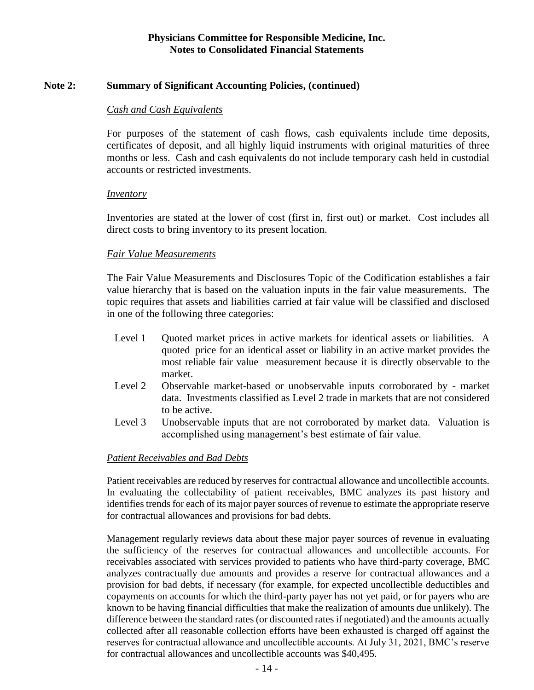#### **Note 2: Summary of Significant Accounting Policies, (continued)**

#### *Cash and Cash Equivalents*

For purposes of the statement of cash flows, cash equivalents include time deposits, certificates of deposit, and all highly liquid instruments with original maturities of three months or less. Cash and cash equivalents do not include temporary cash held in custodial accounts or restricted investments.

#### *Inventory*

Inventories are stated at the lower of cost (first in, first out) or market. Cost includes all direct costs to bring inventory to its present location.

#### *Fair Value Measurements*

The Fair Value Measurements and Disclosures Topic of the Codification establishes a fair value hierarchy that is based on the valuation inputs in the fair value measurements. The topic requires that assets and liabilities carried at fair value will be classified and disclosed in one of the following three categories:

- Level 1 Quoted market prices in active markets for identical assets or liabilities. A quoted price for an identical asset or liability in an active market provides the most reliable fair value measurement because it is directly observable to the market.
- Level 2 Observable market-based or unobservable inputs corroborated by market data. Investments classified as Level 2 trade in markets that are not considered to be active.
- Level 3 Unobservable inputs that are not corroborated by market data. Valuation is accomplished using management's best estimate of fair value.

#### *Patient Receivables and Bad Debts*

Patient receivables are reduced by reserves for contractual allowance and uncollectible accounts. In evaluating the collectability of patient receivables, BMC analyzes its past history and identifies trends for each of its major payer sources of revenue to estimate the appropriate reserve for contractual allowances and provisions for bad debts.

Management regularly reviews data about these major payer sources of revenue in evaluating the sufficiency of the reserves for contractual allowances and uncollectible accounts. For receivables associated with services provided to patients who have third-party coverage, BMC analyzes contractually due amounts and provides a reserve for contractual allowances and a provision for bad debts, if necessary (for example, for expected uncollectible deductibles and copayments on accounts for which the third-party payer has not yet paid, or for payers who are known to be having financial difficulties that make the realization of amounts due unlikely). The difference between the standard rates (or discounted rates if negotiated) and the amounts actually collected after all reasonable collection efforts have been exhausted is charged off against the reserves for contractual allowance and uncollectible accounts. At July 31, 2021, BMC's reserve for contractual allowances and uncollectible accounts was \$40,495.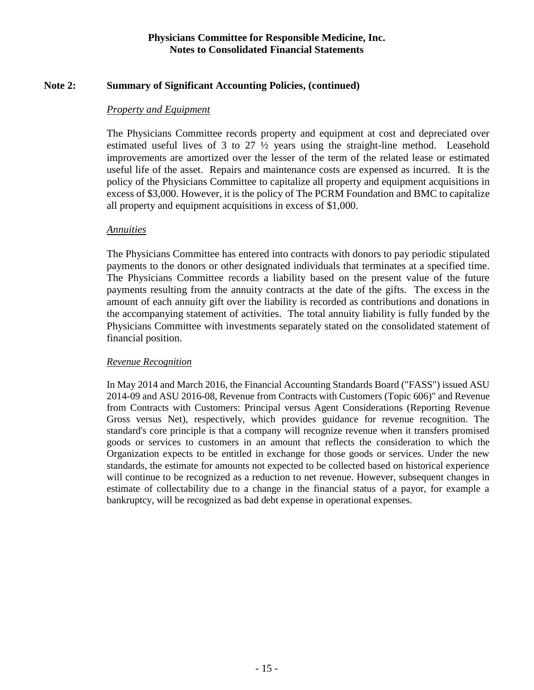#### **Note 2: Summary of Significant Accounting Policies, (continued)**

#### *Property and Equipment*

The Physicians Committee records property and equipment at cost and depreciated over estimated useful lives of 3 to 27  $\frac{1}{2}$  years using the straight-line method. Leasehold improvements are amortized over the lesser of the term of the related lease or estimated useful life of the asset. Repairs and maintenance costs are expensed as incurred. It is the policy of the Physicians Committee to capitalize all property and equipment acquisitions in excess of \$3,000. However, it is the policy of The PCRM Foundation and BMC to capitalize all property and equipment acquisitions in excess of \$1,000.

#### *Annuities*

The Physicians Committee has entered into contracts with donors to pay periodic stipulated payments to the donors or other designated individuals that terminates at a specified time. The Physicians Committee records a liability based on the present value of the future payments resulting from the annuity contracts at the date of the gifts. The excess in the amount of each annuity gift over the liability is recorded as contributions and donations in the accompanying statement of activities. The total annuity liability is fully funded by the Physicians Committee with investments separately stated on the consolidated statement of financial position.

#### *Revenue Recognition*

In May 2014 and March 2016, the Financial Accounting Standards Board ("FASS") issued ASU 2014-09 and ASU 2016-08, Revenue from Contracts with Customers (Topic 606)" and Revenue from Contracts with Customers: Principal versus Agent Considerations (Reporting Revenue Gross versus Net), respectively, which provides guidance for revenue recognition. The standard's core principle is that a company will recognize revenue when it transfers promised goods or services to customers in an amount that reflects the consideration to which the Organization expects to be entitled in exchange for those goods or services. Under the new standards, the estimate for amounts not expected to be collected based on historical experience will continue to be recognized as a reduction to net revenue. However, subsequent changes in estimate of collectability due to a change in the financial status of a payor, for example a bankruptcy, will be recognized as bad debt expense in operational expenses.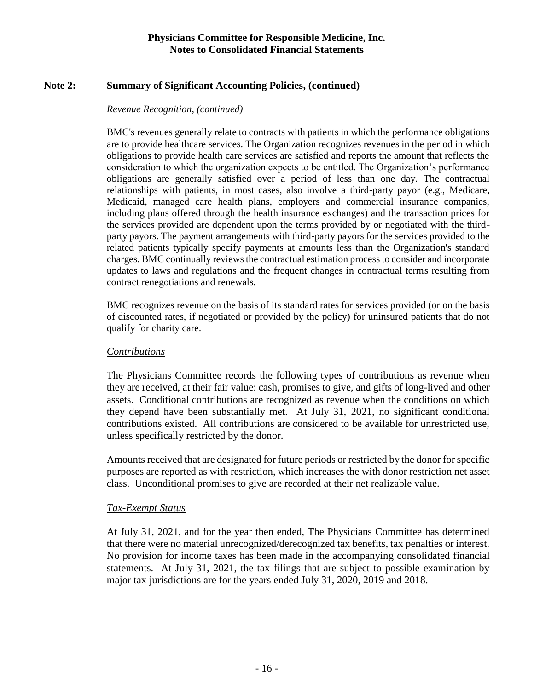# **Note 2: Summary of Significant Accounting Policies, (continued)**

#### *Revenue Recognition, (continued)*

BMC's revenues generally relate to contracts with patients in which the performance obligations are to provide healthcare services. The Organization recognizes revenues in the period in which obligations to provide health care services are satisfied and reports the amount that reflects the consideration to which the organization expects to be entitled. The Organization's performance obligations are generally satisfied over a period of less than one day. The contractual relationships with patients, in most cases, also involve a third-party payor (e.g., Medicare, Medicaid, managed care health plans, employers and commercial insurance companies, including plans offered through the health insurance exchanges) and the transaction prices for the services provided are dependent upon the terms provided by or negotiated with the thirdparty payors. The payment arrangements with third-party payors for the services provided to the related patients typically specify payments at amounts less than the Organization's standard charges. BMC continually reviews the contractual estimation process to consider and incorporate updates to laws and regulations and the frequent changes in contractual terms resulting from contract renegotiations and renewals.

BMC recognizes revenue on the basis of its standard rates for services provided (or on the basis of discounted rates, if negotiated or provided by the policy) for uninsured patients that do not qualify for charity care.

#### *Contributions*

The Physicians Committee records the following types of contributions as revenue when they are received, at their fair value: cash, promises to give, and gifts of long-lived and other assets. Conditional contributions are recognized as revenue when the conditions on which they depend have been substantially met. At July 31, 2021, no significant conditional contributions existed. All contributions are considered to be available for unrestricted use, unless specifically restricted by the donor.

Amounts received that are designated for future periods or restricted by the donor for specific purposes are reported as with restriction, which increases the with donor restriction net asset class. Unconditional promises to give are recorded at their net realizable value.

#### *Tax-Exempt Status*

At July 31, 2021, and for the year then ended, The Physicians Committee has determined that there were no material unrecognized/derecognized tax benefits, tax penalties or interest. No provision for income taxes has been made in the accompanying consolidated financial statements. At July 31, 2021, the tax filings that are subject to possible examination by major tax jurisdictions are for the years ended July 31, 2020, 2019 and 2018.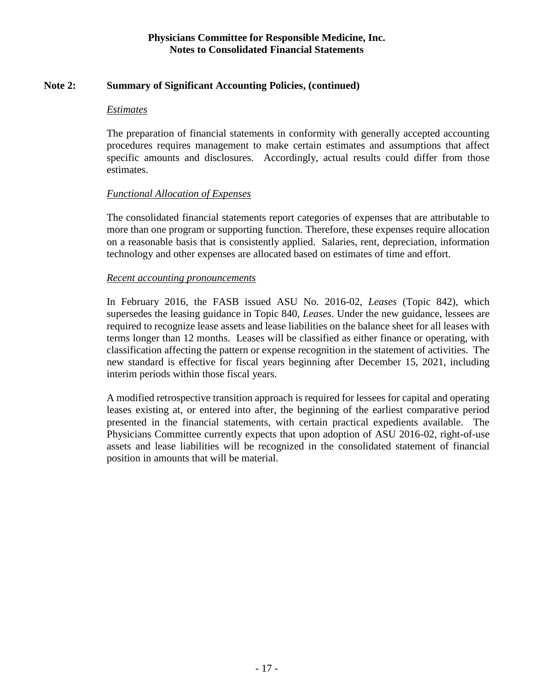# **Note 2: Summary of Significant Accounting Policies, (continued)**

#### *Estimates*

The preparation of financial statements in conformity with generally accepted accounting procedures requires management to make certain estimates and assumptions that affect specific amounts and disclosures. Accordingly, actual results could differ from those estimates.

# *Functional Allocation of Expenses*

The consolidated financial statements report categories of expenses that are attributable to more than one program or supporting function. Therefore, these expenses require allocation on a reasonable basis that is consistently applied. Salaries, rent, depreciation, information technology and other expenses are allocated based on estimates of time and effort.

#### *Recent accounting pronouncements*

In February 2016, the FASB issued ASU No. 2016-02, *Leases* (Topic 842), which supersedes the leasing guidance in Topic 840, *Leases*. Under the new guidance, lessees are required to recognize lease assets and lease liabilities on the balance sheet for all leases with terms longer than 12 months. Leases will be classified as either finance or operating, with classification affecting the pattern or expense recognition in the statement of activities. The new standard is effective for fiscal years beginning after December 15, 2021, including interim periods within those fiscal years.

A modified retrospective transition approach is required for lessees for capital and operating leases existing at, or entered into after, the beginning of the earliest comparative period presented in the financial statements, with certain practical expedients available. The Physicians Committee currently expects that upon adoption of ASU 2016-02, right-of-use assets and lease liabilities will be recognized in the consolidated statement of financial position in amounts that will be material.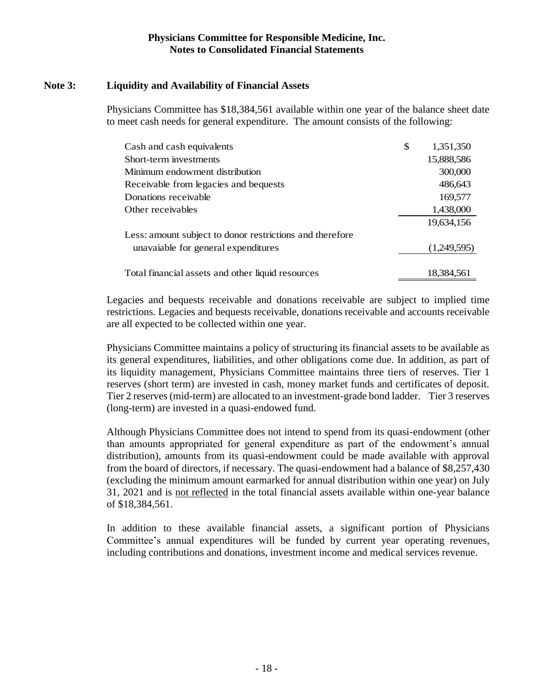# **Note 3: Liquidity and Availability of Financial Assets**

Physicians Committee has \$18,384,561 available within one year of the balance sheet date to meet cash needs for general expenditure. The amount consists of the following:

| Cash and cash equivalents                                | \$<br>1,351,350 |
|----------------------------------------------------------|-----------------|
| Short-term investments                                   | 15,888,586      |
| Minimum endowment distribution                           | 300,000         |
| Receivable from legacies and bequests                    | 486,643         |
| Donations receivable                                     | 169,577         |
| Other receivables                                        | 1,438,000       |
|                                                          | 19,634,156      |
| Less: amount subject to donor restrictions and therefore |                 |
| unavaiable for general expenditures                      | (1,249,595)     |
|                                                          |                 |
| Total financial assets and other liquid resources        | 18,384,561      |

Legacies and bequests receivable and donations receivable are subject to implied time restrictions. Legacies and bequests receivable, donations receivable and accounts receivable are all expected to be collected within one year.

Physicians Committee maintains a policy of structuring its financial assets to be available as its general expenditures, liabilities, and other obligations come due. In addition, as part of its liquidity management, Physicians Committee maintains three tiers of reserves. Tier 1 reserves (short term) are invested in cash, money market funds and certificates of deposit. Tier 2 reserves (mid-term) are allocated to an investment-grade bond ladder. Tier 3 reserves (long-term) are invested in a quasi-endowed fund.

Although Physicians Committee does not intend to spend from its quasi-endowment (other than amounts appropriated for general expenditure as part of the endowment's annual distribution), amounts from its quasi-endowment could be made available with approval from the board of directors, if necessary. The quasi-endowment had a balance of \$8,257,430 (excluding the minimum amount earmarked for annual distribution within one year) on July 31, 2021 and is not reflected in the total financial assets available within one-year balance of \$18,384,561.

In addition to these available financial assets, a significant portion of Physicians Committee's annual expenditures will be funded by current year operating revenues, including contributions and donations, investment income and medical services revenue.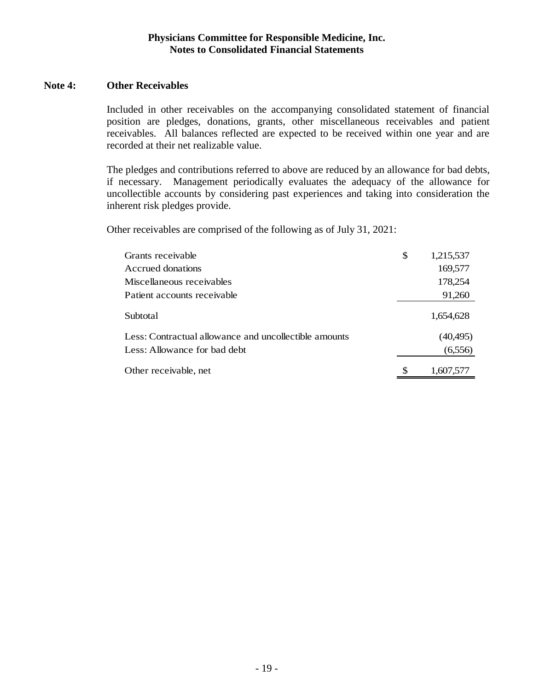#### **Note 4: Other Receivables**

Included in other receivables on the accompanying consolidated statement of financial position are pledges, donations, grants, other miscellaneous receivables and patient receivables. All balances reflected are expected to be received within one year and are recorded at their net realizable value.

The pledges and contributions referred to above are reduced by an allowance for bad debts, if necessary. Management periodically evaluates the adequacy of the allowance for uncollectible accounts by considering past experiences and taking into consideration the inherent risk pledges provide.

Other receivables are comprised of the following as of July 31, 2021:

| Grants receivable                                     | \$ | 1,215,537 |
|-------------------------------------------------------|----|-----------|
| Accrued donations                                     |    | 169,577   |
| Miscellaneous receivables                             |    | 178,254   |
| Patient accounts receivable                           |    | 91,260    |
| Subtotal                                              |    | 1,654,628 |
| Less: Contractual allowance and uncollectible amounts |    | (40, 495) |
| Less: Allowance for bad debt                          |    | (6,556)   |
| Other receivable, net                                 | S  | 1,607,577 |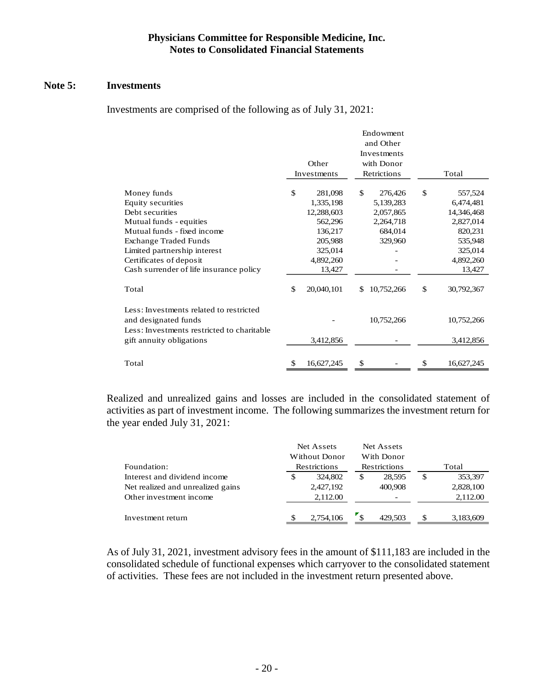#### **Note 5: Investments**

Investments are comprised of the following as of July 31, 2021:

|                                                                                                               | Other            |     | Investments<br>with Donor |              |            |
|---------------------------------------------------------------------------------------------------------------|------------------|-----|---------------------------|--------------|------------|
|                                                                                                               | Investments      |     | Retrictions               |              | Total      |
|                                                                                                               |                  |     |                           |              |            |
| Money funds                                                                                                   | \$<br>281,098    | \$  | 276,426                   | \$           | 557,524    |
| Equity securities                                                                                             | 1,335,198        |     | 5,139,283                 |              | 6,474,481  |
| Debt securities                                                                                               | 12,288,603       |     | 2,057,865                 |              | 14,346,468 |
| Mutual funds - equities                                                                                       | 562,296          |     | 2,264,718                 |              | 2,827,014  |
| Mutual funds - fixed income                                                                                   | 136,217          |     | 684,014                   |              | 820,231    |
| <b>Exchange Traded Funds</b>                                                                                  | 205,988          |     | 329,960                   |              | 535,948    |
| Limited partnership interest                                                                                  | 325,014          |     |                           |              | 325,014    |
| Certificates of deposit                                                                                       | 4,892,260        |     |                           |              | 4,892,260  |
| Cash surrender of life insurance policy                                                                       | 13,427           |     |                           |              | 13,427     |
| Total                                                                                                         | \$<br>20,040,101 | \$. | 10,752,266                | $\mathbb{S}$ | 30,792,367 |
| Less: Investments related to restricted<br>and designated funds<br>Less: Investments restricted to charitable |                  |     | 10,752,266                |              | 10,752,266 |
| gift annuity obligations                                                                                      | 3,412,856        |     |                           |              | 3,412,856  |
|                                                                                                               |                  |     |                           |              |            |
| Total                                                                                                         | \$<br>16,627,245 | \$  |                           | \$           | 16,627,245 |

Realized and unrealized gains and losses are included in the consolidated statement of activities as part of investment income. The following summarizes the investment return for<br>
the year ended July 31, 2021:<br>
Net Assets<br>
Net Assets<br>
Net Assets<br>
Net Assets<br>
Net Donor<br>
Net Donor<br>
Net Donor<br>
Net Donor the year ended July 31, 2021:

| e year ended July 31, 2021:                                                                  |                                             |                                  |                           |                                          |   |                                  |
|----------------------------------------------------------------------------------------------|---------------------------------------------|----------------------------------|---------------------------|------------------------------------------|---|----------------------------------|
| Foundation:                                                                                  | Net Assets<br>Without Donor<br>Restrictions |                                  |                           | Net Assets<br>With Donor<br>Restrictions |   | Total                            |
| Interest and dividend income<br>Net realized and unrealized gains<br>Other investment income | \$                                          | 324,802<br>2,427,192<br>2,112.00 | \$                        | 28,595<br>400,908                        | S | 353,397<br>2,828,100<br>2,112.00 |
| Investment return                                                                            |                                             | 2,754,106                        | $\mathbf{r}_{\mathbb{S}}$ | 429,503                                  | S | 3,183,609                        |

As of July 31, 2021, investment advisory fees in the amount of \$111,183 are included in the consolidated schedule of functional expenses which carryover to the consolidated statement of activities. These fees are not included in the investment return presented above.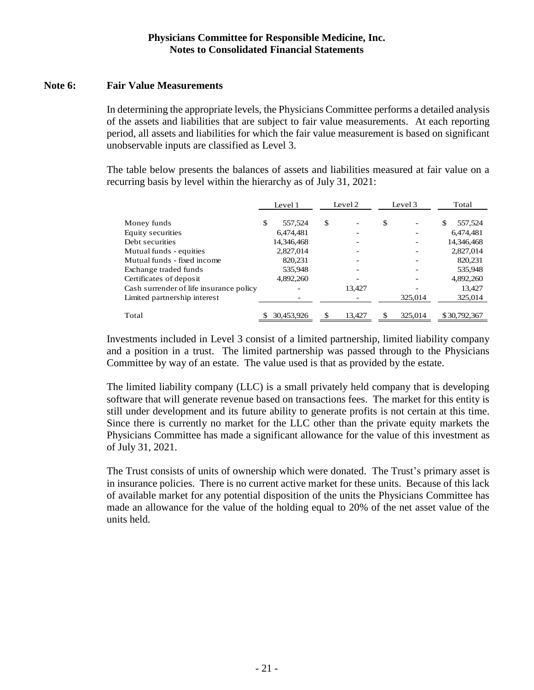#### **Note 6: Fair Value Measurements**

In determining the appropriate levels, the Physicians Committee performs a detailed analysis of the assets and liabilities that are subject to fair value measurements. At each reporting period, all assets and liabilities for which the fair value measurement is based on significant unobservable inputs are classified as Level 3.

The table below presents the balances of assets and liabilities measured at fair value on a recurring basis by level within the hierarchy as of July 31, 2021:<br>
<u>Level 1</u> Level 2 Level 3 Total recurring basis by level within the hierarchy as of July 31, 2021:

|                                         | Level 1       | Level 2 |        | Level 3 |         | Total         |
|-----------------------------------------|---------------|---------|--------|---------|---------|---------------|
|                                         |               |         |        |         |         |               |
| Money funds                             | \$<br>557,524 | \$      |        | \$      |         | \$<br>557.524 |
| Equity securities                       | 6.474.481     |         |        |         |         | 6.474.481     |
| Debt securities                         | 14,346,468    |         |        |         |         | 14,346,468    |
| Mutual funds - equities                 | 2,827,014     |         |        |         |         | 2,827,014     |
| Mutual funds - fixed income             | 820,231       |         |        |         |         | 820,231       |
| Exchange traded funds                   | 535,948       |         |        |         |         | 535,948       |
| Certificates of deposit                 | 4,892,260     |         |        |         |         | 4,892,260     |
| Cash surrender of life insurance policy |               |         | 13.427 |         |         | 13.427        |
| Limited partnership interest            |               |         |        |         | 325,014 | 325,014       |
|                                         |               |         |        |         |         |               |
| Total                                   | 30,453,926    |         | 13.427 | \$      | 325,014 | \$30,792,367  |

Investments included in Level 3 consist of a limited partnership, limited liability company and a position in a trust. The limited partnership was passed through to the Physicians Committee by way of an estate. The value used is that as provided by the estate.

The limited liability company (LLC) is a small privately held company that is developing software that will generate revenue based on transactions fees. The market for this entity is still under development and its future ability to generate profits is not certain at this time. Since there is currently no market for the LLC other than the private equity markets the Physicians Committee has made a significant allowance for the value of this investment as of July 31, 2021.

The Trust consists of units of ownership which were donated. The Trust's primary asset is in insurance policies. There is no current active market for these units. Because of this lack of available market for any potential disposition of the units the Physicians Committee has made an allowance for the value of the holding equal to 20% of the net asset value of the units held.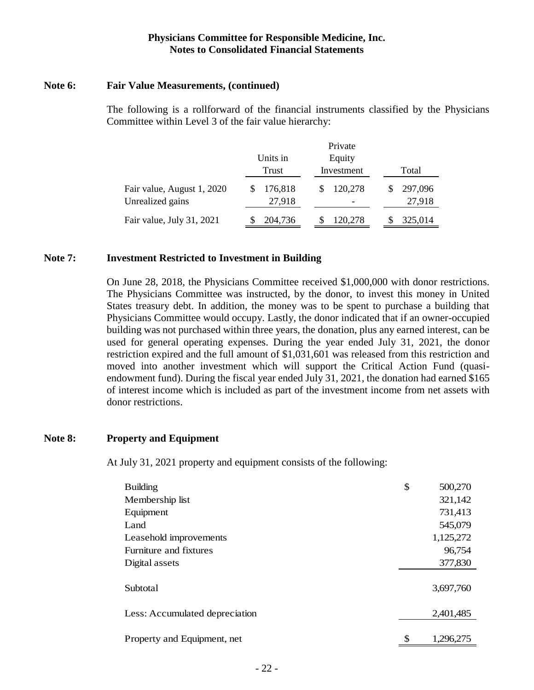#### **Note 6: Fair Value Measurements, (continued)**

The following is a rollforward of the financial instruments classified by the Physicians Committee within Level 3 of the fair value hierarchy:

|                                                | Units in          | Equity       |                   |
|------------------------------------------------|-------------------|--------------|-------------------|
| Trust                                          |                   | Investment   | Total             |
| Fair value, August 1, 2020<br>Unrealized gains | 176,818<br>27,918 | 120,278<br>- | 297,096<br>27,918 |
| Fair value, July 31, 2021                      | 204,736           | 120,278      | 325,014           |

#### **Note 7: Investment Restricted to Investment in Building**

On June 28, 2018, the Physicians Committee received \$1,000,000 with donor restrictions. The Physicians Committee was instructed, by the donor, to invest this money in United States treasury debt. In addition, the money was to be spent to purchase a building that Physicians Committee would occupy. Lastly, the donor indicated that if an owner-occupied building was not purchased within three years, the donation, plus any earned interest, can be used for general operating expenses. During the year ended July 31, 2021, the donor restriction expired and the full amount of \$1,031,601 was released from this restriction and moved into another investment which will support the Critical Action Fund (quasiendowment fund). During the fiscal year ended July 31, 2021, the donation had earned \$165 of interest income which is included as part of the investment income from net assets with donor restrictions.

#### **Note 8: Property and Equipment**

At July 31, 2021 property and equipment consists of the following:

| <b>Building</b>                | \$<br>500,270   |
|--------------------------------|-----------------|
| Membership list                | 321,142         |
| Equipment                      | 731,413         |
| Land                           | 545,079         |
| Leasehold improvements         | 1,125,272       |
| Furniture and fixtures         | 96,754          |
| Digital assets                 | 377,830         |
| Subtotal                       | 3,697,760       |
| Less: Accumulated depreciation | 2,401,485       |
| Property and Equipment, net    | \$<br>1.296.275 |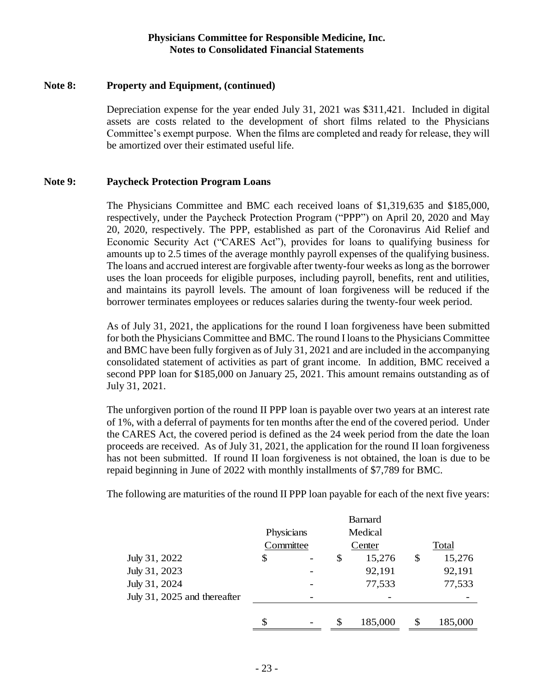#### **Note 8: Property and Equipment, (continued)**

Depreciation expense for the year ended July 31, 2021 was \$311,421. Included in digital assets are costs related to the development of short films related to the Physicians Committee's exempt purpose. When the films are completed and ready for release, they will be amortized over their estimated useful life.

#### **Note 9: Paycheck Protection Program Loans**

The Physicians Committee and BMC each received loans of \$1,319,635 and \$185,000, respectively, under the Paycheck Protection Program ("PPP") on April 20, 2020 and May 20, 2020, respectively. The PPP, established as part of the Coronavirus Aid Relief and Economic Security Act ("CARES Act"), provides for loans to qualifying business for amounts up to 2.5 times of the average monthly payroll expenses of the qualifying business. The loans and accrued interest are forgivable after twenty-four weeks as long as the borrower uses the loan proceeds for eligible purposes, including payroll, benefits, rent and utilities, and maintains its payroll levels. The amount of loan forgiveness will be reduced if the borrower terminates employees or reduces salaries during the twenty-four week period.

As of July 31, 2021, the applications for the round I loan forgiveness have been submitted for both the Physicians Committee and BMC. The round I loans to the Physicians Committee and BMC have been fully forgiven as of July 31, 2021 and are included in the accompanying consolidated statement of activities as part of grant income. In addition, BMC received a second PPP loan for \$185,000 on January 25, 2021. This amount remains outstanding as of July 31, 2021.

The unforgiven portion of the round II PPP loan is payable over two years at an interest rate of 1%, with a deferral of payments for ten months after the end of the covered period. Under the CARES Act, the covered period is defined as the 24 week period from the date the loan proceeds are received. As of July 31, 2021, the application for the round II loan forgiveness has not been submitted. If round II loan forgiveness is not obtained, the loan is due to be repaid beginning in June of 2022 with monthly installments of \$7,789 for BMC.

The following are maturities of the round II PPP loan payable for each of the next five years:

|                              |            |           |         | <b>Barnard</b> |       |         |  |
|------------------------------|------------|-----------|---------|----------------|-------|---------|--|
|                              | Physicians |           | Medical |                |       |         |  |
|                              |            | Committee |         | Center         | Total |         |  |
| July 31, 2022                | \$         |           | \$      | 15,276         | \$    | 15,276  |  |
| July 31, 2023                |            |           |         | 92,191         |       | 92,191  |  |
| July 31, 2024                |            |           |         | 77,533         |       | 77,533  |  |
| July 31, 2025 and thereafter |            |           |         |                |       |         |  |
|                              |            |           |         |                |       |         |  |
|                              | \$         |           | \$      | 185,000        | \$    | 185,000 |  |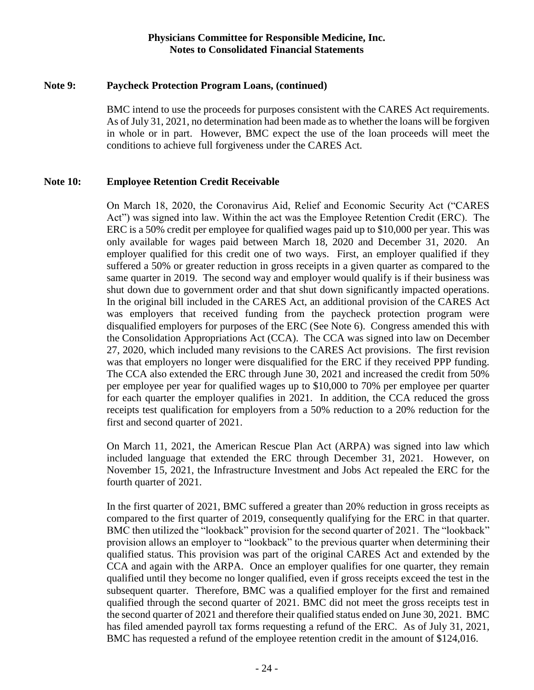# **Note 9: Paycheck Protection Program Loans, (continued)**

BMC intend to use the proceeds for purposes consistent with the CARES Act requirements. As of July 31, 2021, no determination had been made as to whether the loans will be forgiven in whole or in part. However, BMC expect the use of the loan proceeds will meet the conditions to achieve full forgiveness under the CARES Act.

# **Note 10: Employee Retention Credit Receivable**

On March 18, 2020, the Coronavirus Aid, Relief and Economic Security Act ("CARES Act") was signed into law. Within the act was the Employee Retention Credit (ERC). The ERC is a 50% credit per employee for qualified wages paid up to \$10,000 per year. This was only available for wages paid between March 18, 2020 and December 31, 2020. An employer qualified for this credit one of two ways. First, an employer qualified if they suffered a 50% or greater reduction in gross receipts in a given quarter as compared to the same quarter in 2019. The second way and employer would qualify is if their business was shut down due to government order and that shut down significantly impacted operations. In the original bill included in the CARES Act, an additional provision of the CARES Act was employers that received funding from the paycheck protection program were disqualified employers for purposes of the ERC (See Note 6). Congress amended this with the Consolidation Appropriations Act (CCA). The CCA was signed into law on December 27, 2020, which included many revisions to the CARES Act provisions. The first revision was that employers no longer were disqualified for the ERC if they received PPP funding. The CCA also extended the ERC through June 30, 2021 and increased the credit from 50% per employee per year for qualified wages up to \$10,000 to 70% per employee per quarter for each quarter the employer qualifies in 2021. In addition, the CCA reduced the gross receipts test qualification for employers from a 50% reduction to a 20% reduction for the first and second quarter of 2021.

On March 11, 2021, the American Rescue Plan Act (ARPA) was signed into law which included language that extended the ERC through December 31, 2021. However, on November 15, 2021, the Infrastructure Investment and Jobs Act repealed the ERC for the fourth quarter of 2021.

In the first quarter of 2021, BMC suffered a greater than 20% reduction in gross receipts as compared to the first quarter of 2019, consequently qualifying for the ERC in that quarter. BMC then utilized the "lookback" provision for the second quarter of 2021. The "lookback" provision allows an employer to "lookback" to the previous quarter when determining their qualified status. This provision was part of the original CARES Act and extended by the CCA and again with the ARPA. Once an employer qualifies for one quarter, they remain qualified until they become no longer qualified, even if gross receipts exceed the test in the subsequent quarter. Therefore, BMC was a qualified employer for the first and remained qualified through the second quarter of 2021. BMC did not meet the gross receipts test in the second quarter of 2021 and therefore their qualified status ended on June 30, 2021. BMC has filed amended payroll tax forms requesting a refund of the ERC. As of July 31, 2021, BMC has requested a refund of the employee retention credit in the amount of \$124,016.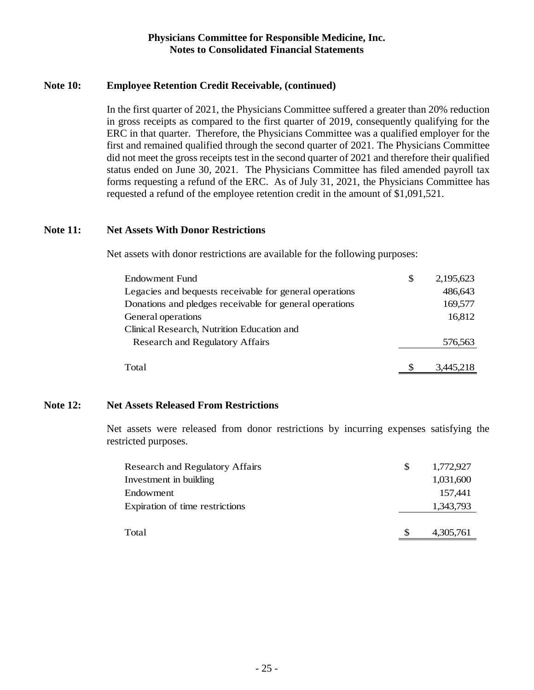# **Note 10: Employee Retention Credit Receivable, (continued)**

In the first quarter of 2021, the Physicians Committee suffered a greater than 20% reduction in gross receipts as compared to the first quarter of 2019, consequently qualifying for the ERC in that quarter. Therefore, the Physicians Committee was a qualified employer for the first and remained qualified through the second quarter of 2021. The Physicians Committee did not meet the gross receipts test in the second quarter of 2021 and therefore their qualified status ended on June 30, 2021. The Physicians Committee has filed amended payroll tax forms requesting a refund of the ERC. As of July 31, 2021, the Physicians Committee has requested a refund of the employee retention credit in the amount of \$1,091,521.

#### **Note 11: Net Assets With Donor Restrictions**

Net assets with donor restrictions are available for the following purposes:

| <b>Endowment Fund</b>                                   | S | 2,195,623 |
|---------------------------------------------------------|---|-----------|
| Legacies and bequests receivable for general operations |   | 486,643   |
| Donations and pledges receivable for general operations |   | 169,577   |
| General operations                                      |   | 16,812    |
| Clinical Research, Nutrition Education and              |   |           |
| <b>Research and Regulatory Affairs</b>                  |   | 576,563   |
|                                                         |   |           |
| Total                                                   |   | 3.445.218 |

#### **Note 12: Net Assets Released From Restrictions**

Net assets were released from donor restrictions by incurring expenses satisfying the restricted purposes.

| <b>Research and Regulatory Affairs</b> | S. | 1,772,927 |
|----------------------------------------|----|-----------|
| Investment in building                 |    | 1,031,600 |
| Endowment                              |    | 157,441   |
| Expiration of time restrictions        |    | 1,343,793 |
|                                        |    |           |
| Total                                  |    | 4,305,761 |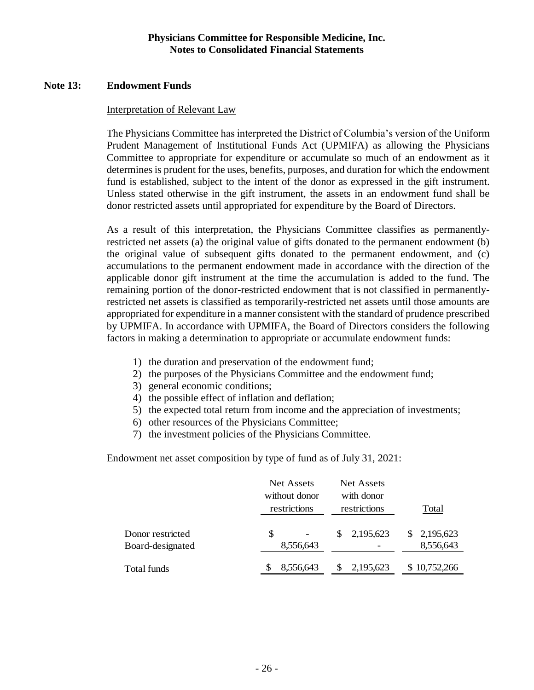#### **Note 13: Endowment Funds**

#### Interpretation of Relevant Law

The Physicians Committee has interpreted the District of Columbia's version of the Uniform Prudent Management of Institutional Funds Act (UPMIFA) as allowing the Physicians Committee to appropriate for expenditure or accumulate so much of an endowment as it determines is prudent for the uses, benefits, purposes, and duration for which the endowment fund is established, subject to the intent of the donor as expressed in the gift instrument. Unless stated otherwise in the gift instrument, the assets in an endowment fund shall be donor restricted assets until appropriated for expenditure by the Board of Directors.

As a result of this interpretation, the Physicians Committee classifies as permanentlyrestricted net assets (a) the original value of gifts donated to the permanent endowment (b) the original value of subsequent gifts donated to the permanent endowment, and (c) accumulations to the permanent endowment made in accordance with the direction of the applicable donor gift instrument at the time the accumulation is added to the fund. The remaining portion of the donor-restricted endowment that is not classified in permanentlyrestricted net assets is classified as temporarily-restricted net assets until those amounts are appropriated for expenditure in a manner consistent with the standard of prudence prescribed by UPMIFA. In accordance with UPMIFA, the Board of Directors considers the following factors in making a determination to appropriate or accumulate endowment funds:

- 1) the duration and preservation of the endowment fund;
- 2) the purposes of the Physicians Committee and the endowment fund;
- 3) general economic conditions;
- 4) the possible effect of inflation and deflation;
- 5) the expected total return from income and the appreciation of investments;
- 6) other resources of the Physicians Committee;
- 7) the investment policies of the Physicians Committee.

#### Endowment net asset composition by type of fund as of July 31, 2021:

|                                      | <b>Net Assets</b><br>without donor<br>restrictions | <b>Net Assets</b><br>with donor<br>restrictions | Total                    |
|--------------------------------------|----------------------------------------------------|-------------------------------------------------|--------------------------|
| Donor restricted<br>Board-designated | S<br>8,556,643                                     | 2,195,623<br>\$.                                | \$2,195,623<br>8,556,643 |
| Total funds                          | 8,556,643                                          | 2,195,623<br>S                                  | \$10,752,266             |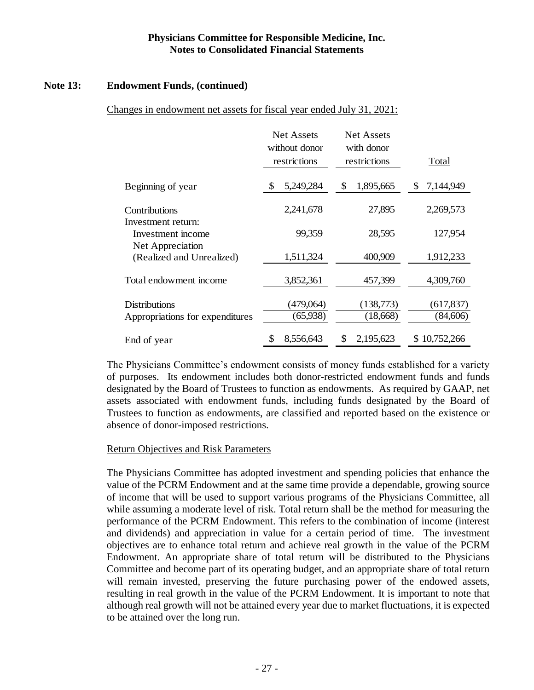#### **Note 13: Endowment Funds, (continued)**

#### Changes in endowment net assets for fiscal year ended July 31, 2021:

|                                               | <b>Net Assets</b><br>without donor<br>restrictions |           | <b>Net Assets</b><br>with donor<br>restrictions |           | Total |              |
|-----------------------------------------------|----------------------------------------------------|-----------|-------------------------------------------------|-----------|-------|--------------|
| Beginning of year                             | \$                                                 | 5,249,284 | \$                                              | 1,895,665 | \$    | 7,144,949    |
| Contributions                                 |                                                    | 2,241,678 |                                                 | 27,895    |       | 2,269,573    |
| Investment return:<br>Investment income       |                                                    | 99,359    |                                                 | 28,595    |       | 127,954      |
| Net Appreciation<br>(Realized and Unrealized) |                                                    | 1,511,324 |                                                 | 400,909   |       | 1,912,233    |
| Total endowment income                        |                                                    | 3,852,361 |                                                 | 457,399   |       | 4,309,760    |
| <b>Distributions</b>                          |                                                    | (479,064) |                                                 | (138,773) |       | (617, 837)   |
| Appropriations for expenditures               |                                                    | (65,938)  |                                                 | (18,668)  |       | (84, 606)    |
| End of year                                   | S                                                  | 8,556,643 | \$.                                             | 2,195,623 |       | \$10,752,266 |

The Physicians Committee's endowment consists of money funds established for a variety of purposes. Its endowment includes both donor-restricted endowment funds and funds designated by the Board of Trustees to function as endowments. As required by GAAP, net assets associated with endowment funds, including funds designated by the Board of Trustees to function as endowments, are classified and reported based on the existence or absence of donor-imposed restrictions.

#### Return Objectives and Risk Parameters

The Physicians Committee has adopted investment and spending policies that enhance the value of the PCRM Endowment and at the same time provide a dependable, growing source of income that will be used to support various programs of the Physicians Committee, all while assuming a moderate level of risk. Total return shall be the method for measuring the performance of the PCRM Endowment. This refers to the combination of income (interest and dividends) and appreciation in value for a certain period of time. The investment objectives are to enhance total return and achieve real growth in the value of the PCRM Endowment. An appropriate share of total return will be distributed to the Physicians Committee and become part of its operating budget, and an appropriate share of total return will remain invested, preserving the future purchasing power of the endowed assets, resulting in real growth in the value of the PCRM Endowment. It is important to note that although real growth will not be attained every year due to market fluctuations, it is expected to be attained over the long run.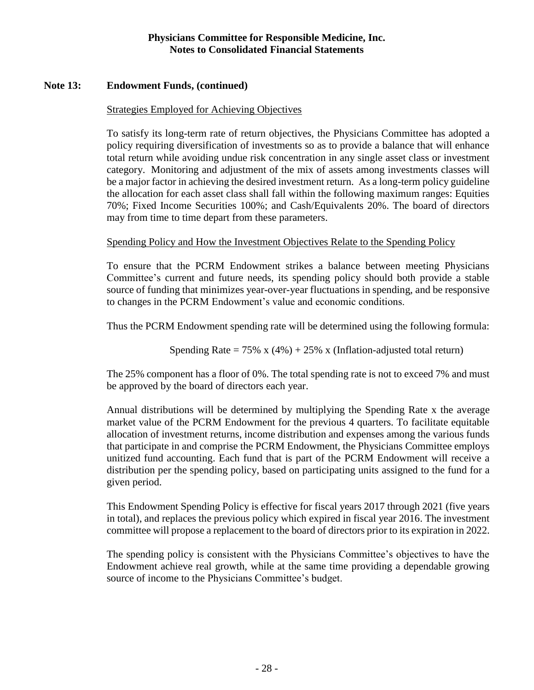# **Note 13: Endowment Funds, (continued)**

#### Strategies Employed for Achieving Objectives

To satisfy its long-term rate of return objectives, the Physicians Committee has adopted a policy requiring diversification of investments so as to provide a balance that will enhance total return while avoiding undue risk concentration in any single asset class or investment category. Monitoring and adjustment of the mix of assets among investments classes will be a major factor in achieving the desired investment return. As a long-term policy guideline the allocation for each asset class shall fall within the following maximum ranges: Equities 70%; Fixed Income Securities 100%; and Cash/Equivalents 20%. The board of directors may from time to time depart from these parameters.

# Spending Policy and How the Investment Objectives Relate to the Spending Policy

To ensure that the PCRM Endowment strikes a balance between meeting Physicians Committee's current and future needs, its spending policy should both provide a stable source of funding that minimizes year-over-year fluctuations in spending, and be responsive to changes in the PCRM Endowment's value and economic conditions.

Thus the PCRM Endowment spending rate will be determined using the following formula:

Spending Rate =  $75\%$  x (4%) +  $25\%$  x (Inflation-adjusted total return)

The 25% component has a floor of 0%. The total spending rate is not to exceed 7% and must be approved by the board of directors each year.

Annual distributions will be determined by multiplying the Spending Rate x the average market value of the PCRM Endowment for the previous 4 quarters. To facilitate equitable allocation of investment returns, income distribution and expenses among the various funds that participate in and comprise the PCRM Endowment, the Physicians Committee employs unitized fund accounting. Each fund that is part of the PCRM Endowment will receive a distribution per the spending policy, based on participating units assigned to the fund for a given period.

This Endowment Spending Policy is effective for fiscal years 2017 through 2021 (five years in total), and replaces the previous policy which expired in fiscal year 2016. The investment committee will propose a replacement to the board of directors prior to its expiration in 2022.

The spending policy is consistent with the Physicians Committee's objectives to have the Endowment achieve real growth, while at the same time providing a dependable growing source of income to the Physicians Committee's budget.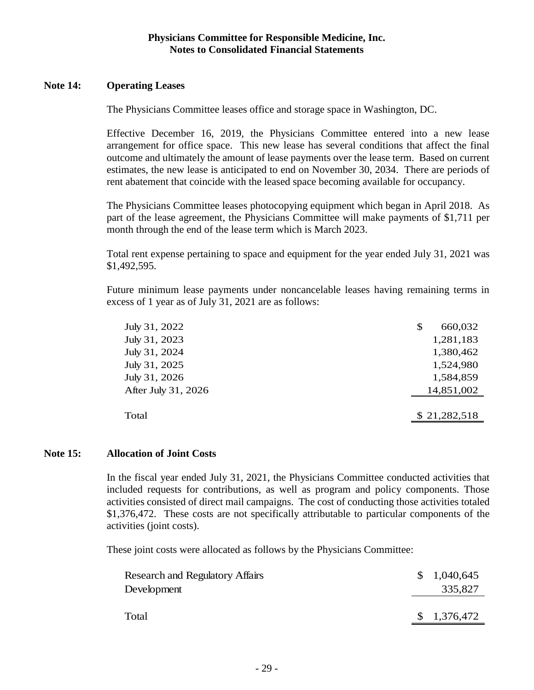# **Note 14: Operating Leases**

The Physicians Committee leases office and storage space in Washington, DC.

Effective December 16, 2019, the Physicians Committee entered into a new lease arrangement for office space. This new lease has several conditions that affect the final outcome and ultimately the amount of lease payments over the lease term. Based on current estimates, the new lease is anticipated to end on November 30, 2034. There are periods of rent abatement that coincide with the leased space becoming available for occupancy.

The Physicians Committee leases photocopying equipment which began in April 2018. As part of the lease agreement, the Physicians Committee will make payments of \$1,711 per month through the end of the lease term which is March 2023.

Total rent expense pertaining to space and equipment for the year ended July 31, 2021 was \$1,492,595.

Future minimum lease payments under noncancelable leases having remaining terms in excess of 1 year as of July 31, 2021 are as follows:

| July 31, 2022       | \$<br>660,032 |
|---------------------|---------------|
| July 31, 2023       | 1,281,183     |
| July 31, 2024       | 1,380,462     |
| July 31, 2025       | 1,524,980     |
| July 31, 2026       | 1,584,859     |
| After July 31, 2026 | 14,851,002    |
|                     |               |
| Total               | \$21,282,518  |

#### **Note 15: Allocation of Joint Costs**

In the fiscal year ended July 31, 2021, the Physicians Committee conducted activities that included requests for contributions, as well as program and policy components. Those activities consisted of direct mail campaigns. The cost of conducting those activities totaled \$1,376,472. These costs are not specifically attributable to particular components of the activities (joint costs).

These joint costs were allocated as follows by the Physicians Committee:

| <b>Research and Regulatory Affairs</b> | \$1,040,645 |
|----------------------------------------|-------------|
| Development                            | 335,827     |
|                                        |             |
| Total                                  | \$1,376,472 |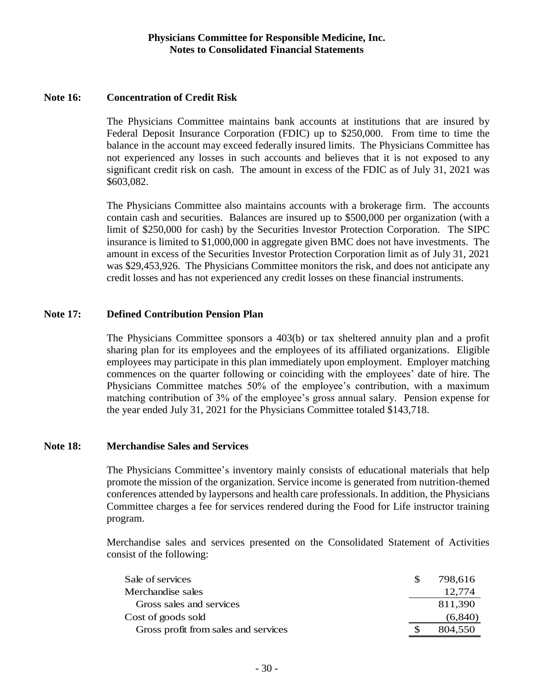# **Note 16: Concentration of Credit Risk**

The Physicians Committee maintains bank accounts at institutions that are insured by Federal Deposit Insurance Corporation (FDIC) up to \$250,000. From time to time the balance in the account may exceed federally insured limits. The Physicians Committee has not experienced any losses in such accounts and believes that it is not exposed to any significant credit risk on cash. The amount in excess of the FDIC as of July 31, 2021 was \$603,082.

The Physicians Committee also maintains accounts with a brokerage firm. The accounts contain cash and securities. Balances are insured up to \$500,000 per organization (with a limit of \$250,000 for cash) by the Securities Investor Protection Corporation. The SIPC insurance is limited to \$1,000,000 in aggregate given BMC does not have investments. The amount in excess of the Securities Investor Protection Corporation limit as of July 31, 2021 was \$29,453,926. The Physicians Committee monitors the risk, and does not anticipate any credit losses and has not experienced any credit losses on these financial instruments.

# **Note 17: Defined Contribution Pension Plan**

The Physicians Committee sponsors a 403(b) or tax sheltered annuity plan and a profit sharing plan for its employees and the employees of its affiliated organizations. Eligible employees may participate in this plan immediately upon employment. Employer matching commences on the quarter following or coinciding with the employees' date of hire. The Physicians Committee matches 50% of the employee's contribution, with a maximum matching contribution of 3% of the employee's gross annual salary. Pension expense for the year ended July 31, 2021 for the Physicians Committee totaled \$143,718.

#### **Note 18: Merchandise Sales and Services**

The Physicians Committee's inventory mainly consists of educational materials that help promote the mission of the organization. Service income is generated from nutrition-themed conferences attended by laypersons and health care professionals. In addition, the Physicians Committee charges a fee for services rendered during the Food for Life instructor training program.

Merchandise sales and services presented on the Consolidated Statement of Activities consist of the following:

| Sale of services                     | 798.616  |
|--------------------------------------|----------|
| Merchandise sales                    | 12.774   |
| Gross sales and services             | 811,390  |
| Cost of goods sold                   | (6, 840) |
| Gross profit from sales and services | 804,550  |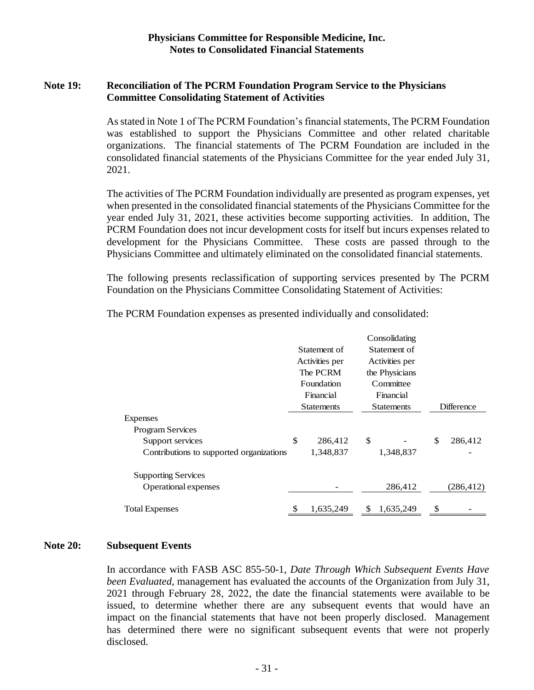# **Note 19: Reconciliation of The PCRM Foundation Program Service to the Physicians Committee Consolidating Statement of Activities**

As stated in Note 1 of The PCRM Foundation's financial statements, The PCRM Foundation was established to support the Physicians Committee and other related charitable organizations. The financial statements of The PCRM Foundation are included in the consolidated financial statements of the Physicians Committee for the year ended July 31, 2021.

The activities of The PCRM Foundation individually are presented as program expenses, yet when presented in the consolidated financial statements of the Physicians Committee for the year ended July 31, 2021, these activities become supporting activities. In addition, The PCRM Foundation does not incur development costs for itself but incurs expenses related to development for the Physicians Committee. These costs are passed through to the Physicians Committee and ultimately eliminated on the consolidated financial statements.

The following presents reclassification of supporting services presented by The PCRM Foundation on the Physicians Committee Consolidating Statement of Activities:

| The PCRM Foundation expenses as presented individually and consolidated: |  |  |  |  |
|--------------------------------------------------------------------------|--|--|--|--|
|--------------------------------------------------------------------------|--|--|--|--|

|                                          |                   |                |                   | Consolidating  |                   |
|------------------------------------------|-------------------|----------------|-------------------|----------------|-------------------|
|                                          | Statement of      |                |                   | Statement of   |                   |
|                                          |                   | Activities per |                   | Activities per |                   |
|                                          |                   | The PCRM       |                   | the Physicians |                   |
|                                          |                   | Foundation     |                   | Committee      |                   |
|                                          |                   | Financial      |                   | Financial      |                   |
|                                          | <b>Statements</b> |                | <b>Statements</b> |                | <b>Difference</b> |
| Expenses                                 |                   |                |                   |                |                   |
| <b>Program Services</b>                  |                   |                |                   |                |                   |
| Support services                         | \$                | 286,412        | \$                |                | \$<br>286,412     |
| Contributions to supported organizations |                   | 1,348,837      |                   | 1,348,837      |                   |
| <b>Supporting Services</b>               |                   |                |                   |                |                   |
| Operational expenses                     |                   |                |                   | 286,412        | (286, 412)        |
| <b>Total Expenses</b>                    |                   | 1,635,249      |                   | 1,635,249      |                   |

#### **Note 20: Subsequent Events**

In accordance with FASB ASC 855-50-1, *Date Through Which Subsequent Events Have been Evaluated,* management has evaluated the accounts of the Organization from July 31, 2021 through February 28, 2022, the date the financial statements were available to be issued, to determine whether there are any subsequent events that would have an impact on the financial statements that have not been properly disclosed. Management has determined there were no significant subsequent events that were not properly disclosed.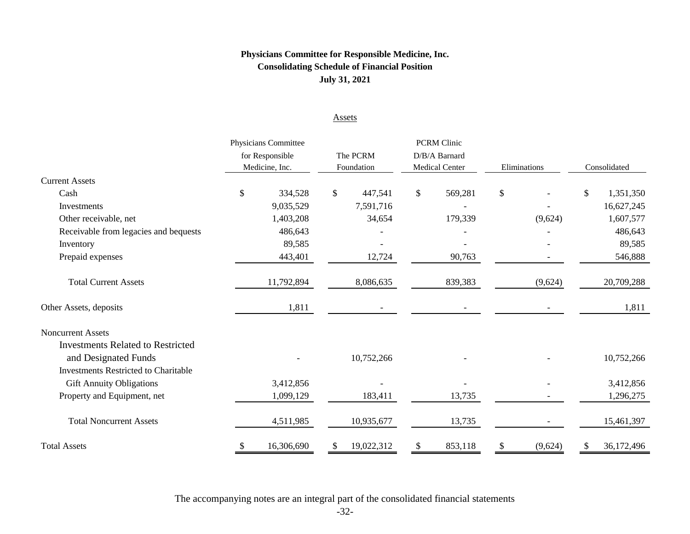# **Physicians Committee for Responsible Medicine, Inc. Consolidating Schedule of Financial Position July 31, 2021**

#### Assets

|                                             | Physicians Committee              |            |                        |            | <b>PCRM Clinic</b>                |         |               |         |              |            |
|---------------------------------------------|-----------------------------------|------------|------------------------|------------|-----------------------------------|---------|---------------|---------|--------------|------------|
|                                             | for Responsible<br>Medicine, Inc. |            | The PCRM<br>Foundation |            | $D/B/A$ Barnard<br>Medical Center |         |               |         |              |            |
|                                             |                                   |            |                        |            |                                   |         | Eliminations  |         | Consolidated |            |
| <b>Current Assets</b>                       |                                   |            |                        |            |                                   |         |               |         |              |            |
| Cash                                        | \$                                | 334,528    | \$                     | 447,541    | $\boldsymbol{\mathsf{S}}$         | 569,281 | $\mathcal{S}$ |         | \$           | 1,351,350  |
| Investments                                 |                                   | 9,035,529  |                        | 7,591,716  |                                   |         |               |         |              | 16,627,245 |
| Other receivable, net                       |                                   | 1,403,208  |                        | 34,654     |                                   | 179,339 |               | (9,624) |              | 1,607,577  |
| Receivable from legacies and bequests       |                                   | 486,643    |                        |            |                                   |         |               |         |              | 486,643    |
| Inventory                                   |                                   | 89,585     |                        |            |                                   |         |               |         |              | 89,585     |
| Prepaid expenses                            |                                   | 443,401    |                        | 12,724     |                                   | 90,763  |               |         |              | 546,888    |
| <b>Total Current Assets</b>                 |                                   | 11,792,894 |                        | 8,086,635  |                                   | 839,383 |               | (9,624) |              | 20,709,288 |
| Other Assets, deposits                      |                                   | 1,811      |                        |            |                                   |         |               |         |              | 1,811      |
| <b>Noncurrent Assets</b>                    |                                   |            |                        |            |                                   |         |               |         |              |            |
| <b>Investments Related to Restricted</b>    |                                   |            |                        |            |                                   |         |               |         |              |            |
| and Designated Funds                        |                                   |            |                        | 10,752,266 |                                   |         |               |         |              | 10,752,266 |
| <b>Investments Restricted to Charitable</b> |                                   |            |                        |            |                                   |         |               |         |              |            |
| <b>Gift Annuity Obligations</b>             |                                   | 3,412,856  |                        |            |                                   |         |               |         |              | 3,412,856  |
| Property and Equipment, net                 |                                   | 1,099,129  |                        | 183,411    |                                   | 13,735  |               |         |              | 1,296,275  |
| <b>Total Noncurrent Assets</b>              |                                   | 4,511,985  |                        | 10,935,677 |                                   | 13,735  |               |         |              | 15,461,397 |
| <b>Total Assets</b>                         | \$                                | 16,306,690 | \$                     | 19,022,312 | \$                                | 853,118 | \$            | (9,624) | \$.          | 36,172,496 |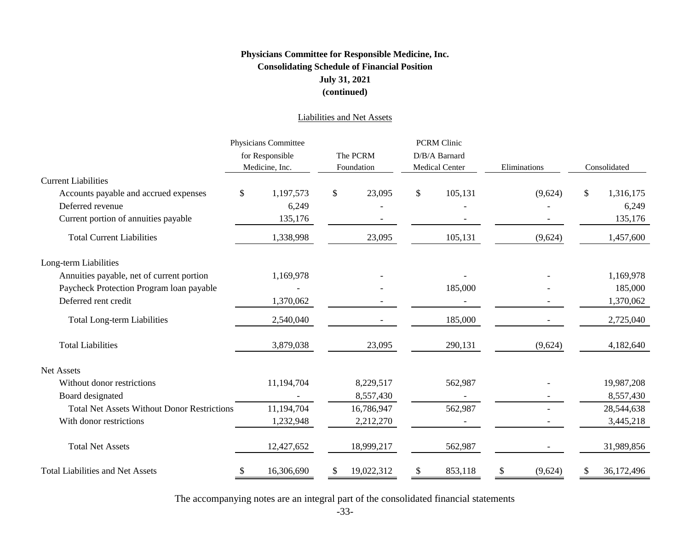# **Physicians Committee for Responsible Medicine, Inc. (continued) Consolidating Schedule of Financial Position July 31, 2021**

#### Liabilities and Net Assets

|                                                    | Physicians Committee |                |          |            |               | PCRM Clinic    |              |         |              |            |
|----------------------------------------------------|----------------------|----------------|----------|------------|---------------|----------------|--------------|---------|--------------|------------|
|                                                    | for Responsible      |                | The PCRM |            | D/B/A Barnard |                |              |         |              |            |
|                                                    |                      | Medicine, Inc. |          | Foundation |               | Medical Center | Eliminations |         | Consolidated |            |
| <b>Current Liabilities</b>                         |                      |                |          |            |               |                |              |         |              |            |
| Accounts payable and accrued expenses              | \$                   | 1,197,573      | \$       | 23,095     | \$            | 105,131        |              | (9,624) | \$           | 1,316,175  |
| Deferred revenue                                   |                      | 6,249          |          |            |               |                |              |         |              | 6,249      |
| Current portion of annuities payable               |                      | 135,176        |          |            |               |                |              |         |              | 135,176    |
| <b>Total Current Liabilities</b>                   |                      | 1,338,998      |          | 23,095     |               | 105,131        |              | (9,624) |              | 1,457,600  |
| Long-term Liabilities                              |                      |                |          |            |               |                |              |         |              |            |
| Annuities payable, net of current portion          |                      | 1,169,978      |          |            |               |                |              |         |              | 1,169,978  |
| Paycheck Protection Program loan payable           |                      |                |          |            |               | 185,000        |              |         |              | 185,000    |
| Deferred rent credit                               |                      | 1,370,062      |          |            |               |                |              |         |              | 1,370,062  |
| <b>Total Long-term Liabilities</b>                 |                      | 2,540,040      |          |            |               | 185,000        |              |         |              | 2,725,040  |
| <b>Total Liabilities</b>                           |                      | 3,879,038      |          | 23,095     |               | 290,131        |              | (9,624) |              | 4,182,640  |
| Net Assets                                         |                      |                |          |            |               |                |              |         |              |            |
| Without donor restrictions                         |                      | 11,194,704     |          | 8,229,517  |               | 562,987        |              |         |              | 19,987,208 |
| Board designated                                   |                      |                |          | 8,557,430  |               |                |              |         |              | 8,557,430  |
| <b>Total Net Assets Without Donor Restrictions</b> |                      | 11,194,704     |          | 16,786,947 |               | 562,987        |              |         |              | 28,544,638 |
| With donor restrictions                            |                      | 1,232,948      |          | 2,212,270  |               |                |              |         |              | 3,445,218  |
| <b>Total Net Assets</b>                            |                      | 12,427,652     |          | 18,999,217 |               | 562,987        |              |         |              | 31,989,856 |
| <b>Total Liabilities and Net Assets</b>            | \$                   | 16,306,690     | \$       | 19,022,312 | \$            | 853,118        | \$           | (9,624) | \$           | 36,172,496 |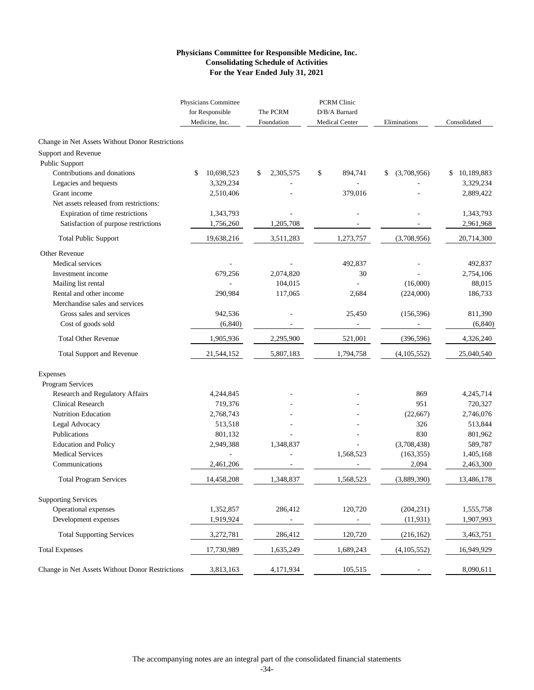#### **Physicians Committee for Responsible Medicine, Inc. Consolidating Schedule of Activities For the Year Ended July 31, 2021**

|                                                 | Physicians Committee |                 |          |            | <b>PCRM Clinic</b>              |           |    |               |              |            |
|-------------------------------------------------|----------------------|-----------------|----------|------------|---------------------------------|-----------|----|---------------|--------------|------------|
|                                                 |                      | for Responsible | The PCRM |            | D/B/A Barnard<br>Medical Center |           |    |               | Consolidated |            |
|                                                 |                      | Medicine, Inc.  |          | Foundation |                                 |           |    | Eliminations  |              |            |
| Change in Net Assets Without Donor Restrictions |                      |                 |          |            |                                 |           |    |               |              |            |
| Support and Revenue                             |                      |                 |          |            |                                 |           |    |               |              |            |
| Public Support                                  |                      |                 |          |            |                                 |           |    |               |              |            |
| Contributions and donations                     | \$                   | 10,698,523      | \$       | 2,305,575  | \$                              | 894,741   | \$ | (3,708,956)   | \$           | 10,189,883 |
| Legacies and bequests                           |                      | 3,329,234       |          |            |                                 |           |    |               |              | 3,329,234  |
| Grant income                                    |                      | 2,510,406       |          |            |                                 | 379,016   |    |               |              | 2,889,422  |
| Net assets released from restrictions:          |                      |                 |          |            |                                 |           |    |               |              |            |
| Expiration of time restrictions                 |                      | 1,343,793       |          |            |                                 |           |    |               |              | 1,343,793  |
| Satisfaction of purpose restrictions            |                      | 1,756,260       |          | 1,205,708  |                                 |           |    |               |              | 2,961,968  |
| <b>Total Public Support</b>                     |                      | 19,638,216      |          | 3,511,283  |                                 | 1,273,757 |    | (3,708,956)   |              | 20,714,300 |
| Other Revenue                                   |                      |                 |          |            |                                 |           |    |               |              |            |
| Medical services                                |                      |                 |          |            |                                 | 492,837   |    |               |              | 492,837    |
| Investment income                               |                      | 679.256         |          | 2,074,820  |                                 | 30        |    |               |              | 2,754,106  |
| Mailing list rental                             |                      |                 |          | 104,015    |                                 |           |    | (16,000)      |              | 88,015     |
| Rental and other income                         |                      | 290,984         |          | 117,065    |                                 | 2,684     |    | (224,000)     |              | 186,733    |
| Merchandise sales and services                  |                      |                 |          |            |                                 |           |    |               |              |            |
| Gross sales and services                        |                      | 942,536         |          |            |                                 | 25,450    |    | (156, 596)    |              | 811,390    |
| Cost of goods sold                              |                      | (6, 840)        |          |            |                                 |           |    |               |              | (6, 840)   |
| <b>Total Other Revenue</b>                      |                      | 1,905,936       |          | 2,295,900  |                                 | 521,001   |    | (396, 596)    |              | 4,326,240  |
| <b>Total Support and Revenue</b>                |                      | 21,544,152      |          | 5,807,183  |                                 | 1,794,758 |    | (4,105,552)   |              | 25,040,540 |
| Expenses                                        |                      |                 |          |            |                                 |           |    |               |              |            |
| Program Services                                |                      |                 |          |            |                                 |           |    |               |              |            |
| Research and Regulatory Affairs                 |                      | 4,244,845       |          |            |                                 |           |    | 869           |              | 4,245,714  |
| <b>Clinical Research</b>                        |                      | 719,376         |          |            |                                 |           |    | 951           |              | 720,327    |
| <b>Nutrition Education</b>                      |                      | 2,768,743       |          |            |                                 |           |    | (22, 667)     |              | 2,746,076  |
| Legal Advocacy                                  |                      | 513,518         |          |            |                                 |           |    | 326           |              | 513,844    |
| Publications                                    |                      | 801,132         |          |            |                                 |           |    | 830           |              | 801,962    |
| <b>Education and Policy</b>                     |                      | 2,949,388       |          | 1,348,837  |                                 |           |    | (3,708,438)   |              | 589,787    |
| <b>Medical Services</b>                         |                      |                 |          |            |                                 | 1,568,523 |    | (163, 355)    |              | 1,405,168  |
| Communications                                  |                      | 2,461,206       |          |            |                                 |           |    | 2,094         |              | 2,463,300  |
| <b>Total Program Services</b>                   |                      | 14,458,208      |          | 1,348,837  |                                 | 1,568,523 |    | (3,889,390)   |              | 13,486,178 |
| <b>Supporting Services</b>                      |                      |                 |          |            |                                 |           |    |               |              |            |
| Operational expenses                            |                      | 1,352,857       |          | 286,412    |                                 | 120,720   |    | (204, 231)    |              | 1,555,758  |
| Development expenses                            |                      | 1,919,924       |          |            |                                 |           |    | (11, 931)     |              | 1,907,993  |
| <b>Total Supporting Services</b>                |                      | 3,272,781       |          | 286,412    |                                 | 120,720   |    | (216, 162)    |              | 3,463,751  |
| <b>Total Expenses</b>                           |                      | 17,730,989      |          | 1,635,249  |                                 | 1,689,243 |    | (4, 105, 552) |              | 16,949,929 |
|                                                 |                      |                 |          |            |                                 |           |    |               |              |            |
| Change in Net Assets Without Donor Restrictions |                      | 3,813,163       |          | 4,171,934  |                                 | 105,515   |    |               |              | 8,090,611  |